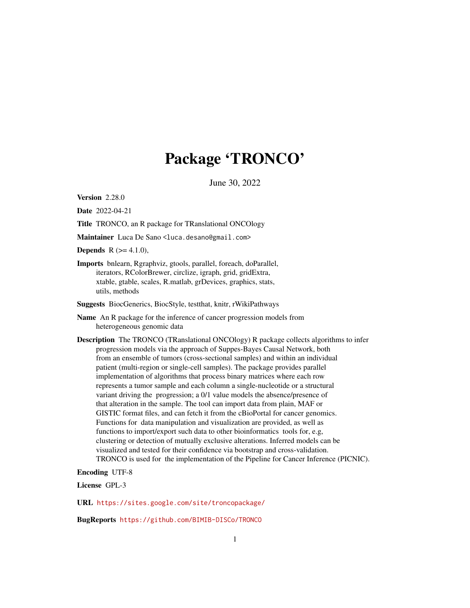# Package 'TRONCO'

June 30, 2022

Version 2.28.0

Date 2022-04-21

Title TRONCO, an R package for TRanslational ONCOlogy

Maintainer Luca De Sano <luca.desano@gmail.com>

**Depends** R  $(>= 4.1.0)$ ,

Imports bnlearn, Rgraphviz, gtools, parallel, foreach, doParallel, iterators, RColorBrewer, circlize, igraph, grid, gridExtra, xtable, gtable, scales, R.matlab, grDevices, graphics, stats, utils, methods

Suggests BiocGenerics, BiocStyle, testthat, knitr, rWikiPathways

- Name An R package for the inference of cancer progression models from heterogeneous genomic data
- Description The TRONCO (TRanslational ONCOlogy) R package collects algorithms to infer progression models via the approach of Suppes-Bayes Causal Network, both from an ensemble of tumors (cross-sectional samples) and within an individual patient (multi-region or single-cell samples). The package provides parallel implementation of algorithms that process binary matrices where each row represents a tumor sample and each column a single-nucleotide or a structural variant driving the progression; a 0/1 value models the absence/presence of that alteration in the sample. The tool can import data from plain, MAF or GISTIC format files, and can fetch it from the cBioPortal for cancer genomics. Functions for data manipulation and visualization are provided, as well as functions to import/export such data to other bioinformatics tools for, e.g, clustering or detection of mutually exclusive alterations. Inferred models can be visualized and tested for their confidence via bootstrap and cross-validation. TRONCO is used for the implementation of the Pipeline for Cancer Inference (PICNIC).

Encoding UTF-8

License GPL-3

URL <https://sites.google.com/site/troncopackage/>

BugReports <https://github.com/BIMIB-DISCo/TRONCO>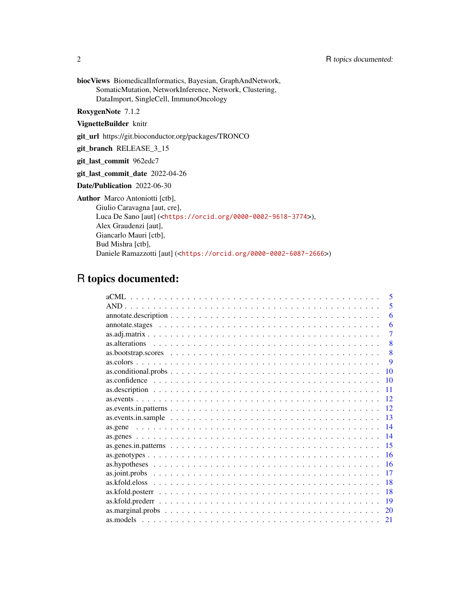biocViews BiomedicalInformatics, Bayesian, GraphAndNetwork, SomaticMutation, NetworkInference, Network, Clustering, DataImport, SingleCell, ImmunoOncology

RoxygenNote 7.1.2

VignetteBuilder knitr

git\_url https://git.bioconductor.org/packages/TRONCO

git\_branch RELEASE\_3\_15

git\_last\_commit 962edc7

git\_last\_commit\_date 2022-04-26

Date/Publication 2022-06-30

Author Marco Antoniotti [ctb],

Giulio Caravagna [aut, cre], Luca De Sano [aut] (<<https://orcid.org/0000-0002-9618-3774>>), Alex Graudenzi [aut], Giancarlo Mauri [ctb], Bud Mishra [ctb], Daniele Ramazzotti [aut] (<<https://orcid.org/0000-0002-6087-2666>>)

## R topics documented:

|  |  |  |  |  |  |  |  |  |  |  |  |  |  |  |  |  |  | 5           |
|--|--|--|--|--|--|--|--|--|--|--|--|--|--|--|--|--|--|-------------|
|  |  |  |  |  |  |  |  |  |  |  |  |  |  |  |  |  |  | 5           |
|  |  |  |  |  |  |  |  |  |  |  |  |  |  |  |  |  |  | 6           |
|  |  |  |  |  |  |  |  |  |  |  |  |  |  |  |  |  |  | 6           |
|  |  |  |  |  |  |  |  |  |  |  |  |  |  |  |  |  |  | 7           |
|  |  |  |  |  |  |  |  |  |  |  |  |  |  |  |  |  |  | 8           |
|  |  |  |  |  |  |  |  |  |  |  |  |  |  |  |  |  |  | 8           |
|  |  |  |  |  |  |  |  |  |  |  |  |  |  |  |  |  |  | $\mathbf Q$ |
|  |  |  |  |  |  |  |  |  |  |  |  |  |  |  |  |  |  | 10          |
|  |  |  |  |  |  |  |  |  |  |  |  |  |  |  |  |  |  | 10          |
|  |  |  |  |  |  |  |  |  |  |  |  |  |  |  |  |  |  | 11          |
|  |  |  |  |  |  |  |  |  |  |  |  |  |  |  |  |  |  | 12          |
|  |  |  |  |  |  |  |  |  |  |  |  |  |  |  |  |  |  | 12          |
|  |  |  |  |  |  |  |  |  |  |  |  |  |  |  |  |  |  | 13          |
|  |  |  |  |  |  |  |  |  |  |  |  |  |  |  |  |  |  | 14          |
|  |  |  |  |  |  |  |  |  |  |  |  |  |  |  |  |  |  | 14          |
|  |  |  |  |  |  |  |  |  |  |  |  |  |  |  |  |  |  | 15          |
|  |  |  |  |  |  |  |  |  |  |  |  |  |  |  |  |  |  | 16          |
|  |  |  |  |  |  |  |  |  |  |  |  |  |  |  |  |  |  | 16          |
|  |  |  |  |  |  |  |  |  |  |  |  |  |  |  |  |  |  | 17          |
|  |  |  |  |  |  |  |  |  |  |  |  |  |  |  |  |  |  | 18          |
|  |  |  |  |  |  |  |  |  |  |  |  |  |  |  |  |  |  | 18          |
|  |  |  |  |  |  |  |  |  |  |  |  |  |  |  |  |  |  | 19          |
|  |  |  |  |  |  |  |  |  |  |  |  |  |  |  |  |  |  | 20          |
|  |  |  |  |  |  |  |  |  |  |  |  |  |  |  |  |  |  | 21          |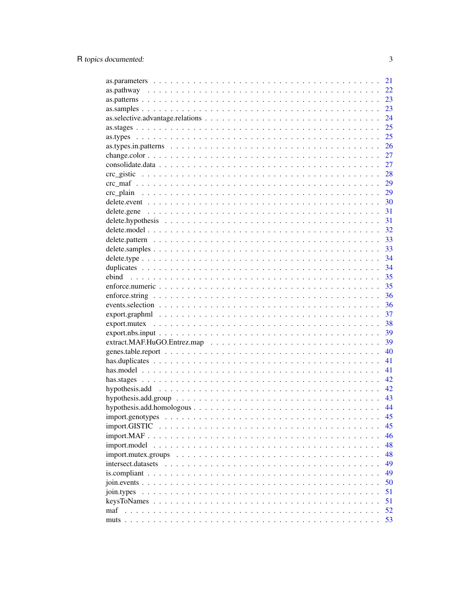|                                                                                                                     | 21 |
|---------------------------------------------------------------------------------------------------------------------|----|
|                                                                                                                     | 22 |
|                                                                                                                     | 23 |
|                                                                                                                     | 23 |
|                                                                                                                     | 24 |
|                                                                                                                     | 25 |
|                                                                                                                     | 25 |
|                                                                                                                     | 26 |
|                                                                                                                     | 27 |
|                                                                                                                     | 27 |
|                                                                                                                     | 28 |
|                                                                                                                     | 29 |
|                                                                                                                     | 29 |
|                                                                                                                     | 30 |
|                                                                                                                     | 31 |
|                                                                                                                     | 31 |
|                                                                                                                     |    |
|                                                                                                                     | 32 |
|                                                                                                                     | 33 |
|                                                                                                                     | 33 |
|                                                                                                                     | 34 |
|                                                                                                                     | 34 |
|                                                                                                                     | 35 |
|                                                                                                                     | 35 |
|                                                                                                                     | 36 |
|                                                                                                                     | 36 |
|                                                                                                                     | 37 |
|                                                                                                                     | 38 |
| $export.nbs. input \dots \dots \dots \dots \dots \dots \dots \dots \dots \dots \dots \dots \dots \dots \dots \dots$ | 39 |
|                                                                                                                     | 39 |
|                                                                                                                     | 40 |
|                                                                                                                     | 41 |
|                                                                                                                     | 41 |
|                                                                                                                     | 42 |
|                                                                                                                     | 42 |
|                                                                                                                     | 43 |
|                                                                                                                     | 44 |
|                                                                                                                     | 45 |
|                                                                                                                     | 45 |
|                                                                                                                     | 46 |
| import.model                                                                                                        | 48 |
|                                                                                                                     | 48 |
|                                                                                                                     | 49 |
|                                                                                                                     | 49 |
|                                                                                                                     | 50 |
|                                                                                                                     | 51 |
|                                                                                                                     |    |
|                                                                                                                     | 51 |
| maf                                                                                                                 | 52 |
|                                                                                                                     | 53 |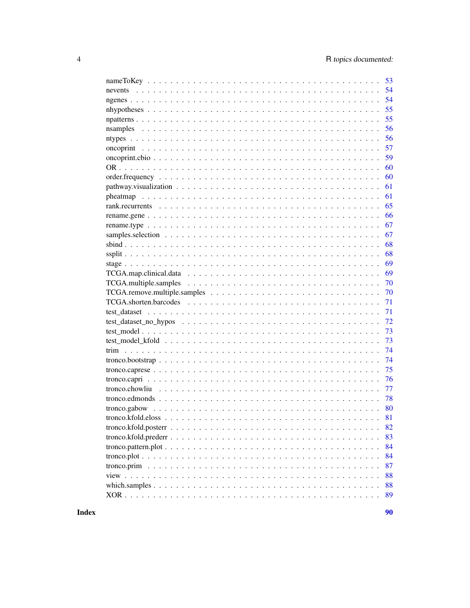| 53 |
|----|
| 54 |
| 54 |
| 55 |
| 55 |
| 56 |
| 56 |
| 57 |
| 59 |
| 60 |
| 60 |
| 61 |
| 61 |
| 65 |
| 66 |
| 67 |
| 67 |
| 68 |
| 68 |
| 69 |
| 69 |
| 70 |
| 70 |
| 71 |
| 71 |
| 72 |
| 73 |
| 73 |
| 74 |
| 74 |
| 75 |
| 76 |
|    |
| 77 |
| 78 |
| 80 |
|    |
| 82 |
| 83 |
| 84 |
| 84 |
| 87 |
| 88 |
| 88 |
| 89 |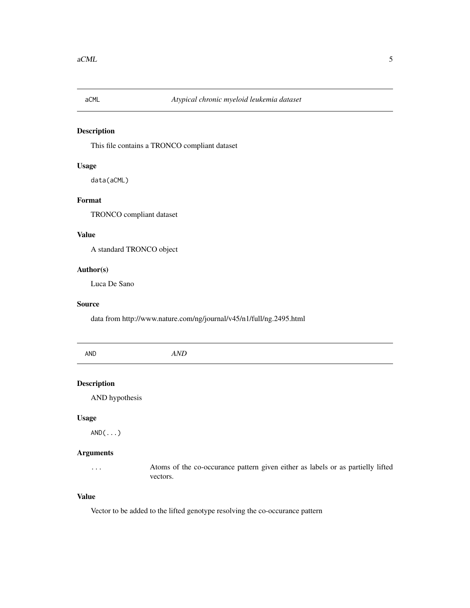<span id="page-4-0"></span>

## Description

This file contains a TRONCO compliant dataset

#### Usage

data(aCML)

## Format

TRONCO compliant dataset

## Value

A standard TRONCO object

#### Author(s)

Luca De Sano

#### Source

data from http://www.nature.com/ng/journal/v45/n1/full/ng.2495.html

| <b>AND</b> | $^{\prime}$<br> |  |
|------------|-----------------|--|
|            |                 |  |

## Description

AND hypothesis

#### Usage

AND(...)

## Arguments

... Atoms of the co-occurance pattern given either as labels or as partielly lifted vectors.

#### Value

Vector to be added to the lifted genotype resolving the co-occurance pattern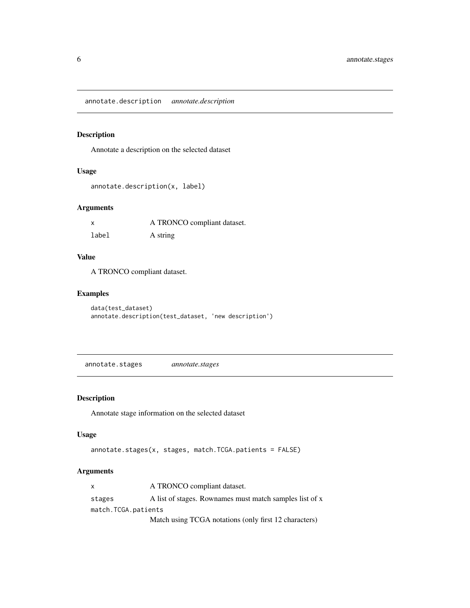<span id="page-5-0"></span>annotate.description *annotate.description*

## Description

Annotate a description on the selected dataset

#### Usage

```
annotate.description(x, label)
```
## Arguments

| X     | A TRONCO compliant dataset. |
|-------|-----------------------------|
| label | A string                    |

#### Value

A TRONCO compliant dataset.

## Examples

```
data(test_dataset)
annotate.description(test_dataset, 'new description')
```
annotate.stages *annotate.stages*

## Description

Annotate stage information on the selected dataset

## Usage

```
annotate.stages(x, stages, match.TCGA.patients = FALSE)
```

| $\mathsf{x}$        | A TRONCO compliant dataset.                             |
|---------------------|---------------------------------------------------------|
| stages              | A list of stages. Rownames must match samples list of x |
| match.TCGA.patients |                                                         |
|                     | Match using TCGA notations (only first 12 characters)   |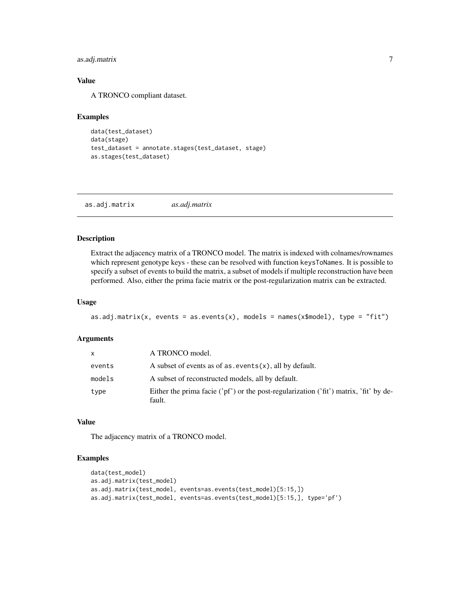<span id="page-6-0"></span>as.adj.matrix 7

#### Value

A TRONCO compliant dataset.

#### Examples

```
data(test_dataset)
data(stage)
test_dataset = annotate.stages(test_dataset, stage)
as.stages(test_dataset)
```
as.adj.matrix *as.adj.matrix*

#### Description

Extract the adjacency matrix of a TRONCO model. The matrix is indexed with colnames/rownames which represent genotype keys - these can be resolved with function keysToNames. It is possible to specify a subset of events to build the matrix, a subset of models if multiple reconstruction have been performed. Also, either the prima facie matrix or the post-regularization matrix can be extracted.

#### Usage

```
as.adj.matrix(x, events = as.events(x), models = names(x$model), type = "fit")
```
#### Arguments

| x      | A TRONCO model.                                                                                            |
|--------|------------------------------------------------------------------------------------------------------------|
| events | A subset of events as of $as.$ events $(x)$ , all by default.                                              |
| models | A subset of reconstructed models, all by default.                                                          |
| type   | Either the prima facie (' $pf'$ ) or the post-regularization (' $fit'$ ) matrix, ' $fit'$ by de-<br>fault. |

## Value

The adjacency matrix of a TRONCO model.

```
data(test_model)
as.adj.matrix(test_model)
as.adj.matrix(test_model, events=as.events(test_model)[5:15,])
as.adj.matrix(test_model, events=as.events(test_model)[5:15,], type='pf')
```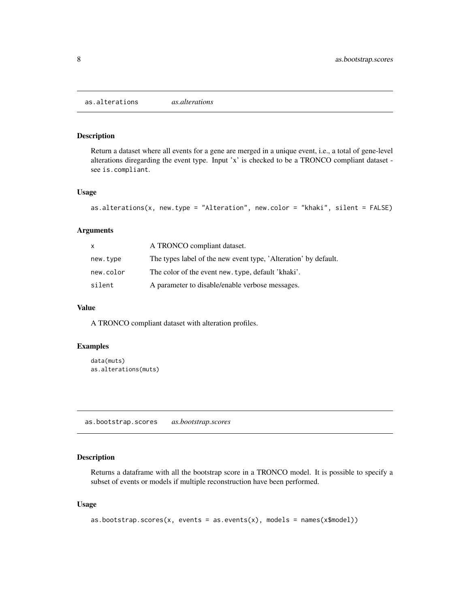<span id="page-7-0"></span>as.alterations *as.alterations*

#### Description

Return a dataset where all events for a gene are merged in a unique event, i.e., a total of gene-level alterations diregarding the event type. Input 'x' is checked to be a TRONCO compliant dataset see is.compliant.

#### Usage

```
as.alterations(x, new.type = "Alteration", new.color = "khaki", silent = FALSE)
```
#### Arguments

| x.        | A TRONCO compliant dataset.                                     |
|-----------|-----------------------------------------------------------------|
| new.type  | The types label of the new event type, 'Alteration' by default. |
| new.color | The color of the event new. type, default 'khaki'.              |
| silent    | A parameter to disable/enable verbose messages.                 |

#### Value

A TRONCO compliant dataset with alteration profiles.

## Examples

```
data(muts)
as.alterations(muts)
```
as.bootstrap.scores *as.bootstrap.scores*

#### Description

Returns a dataframe with all the bootstrap score in a TRONCO model. It is possible to specify a subset of events or models if multiple reconstruction have been performed.

#### Usage

```
as.bootstrap.scores(x, events = as.events(x), models = names(x$model))
```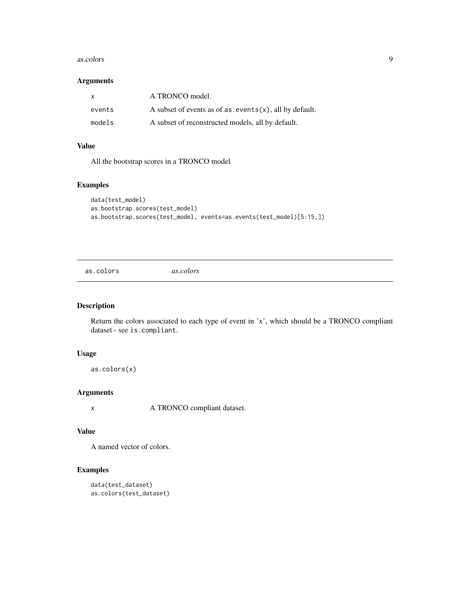#### <span id="page-8-0"></span>as.colors 9

#### Arguments

| $\mathsf{x}$ | A TRONCO model.                                               |
|--------------|---------------------------------------------------------------|
| events       | A subset of events as of $as.$ events $(x)$ , all by default. |
| models       | A subset of reconstructed models, all by default.             |

#### Value

All the bootstrap scores in a TRONCO model

## Examples

```
data(test_model)
as.bootstrap.scores(test_model)
as.bootstrap.scores(test_model, events=as.events(test_model)[5:15,])
```
as.colors *as.colors*

## Description

Return the colors associated to each type of event in 'x', which should be a TRONCO compliant dataset - see is.compliant.

#### Usage

as.colors(x)

## Arguments

x A TRONCO compliant dataset.

#### Value

A named vector of colors.

```
data(test_dataset)
as.colors(test_dataset)
```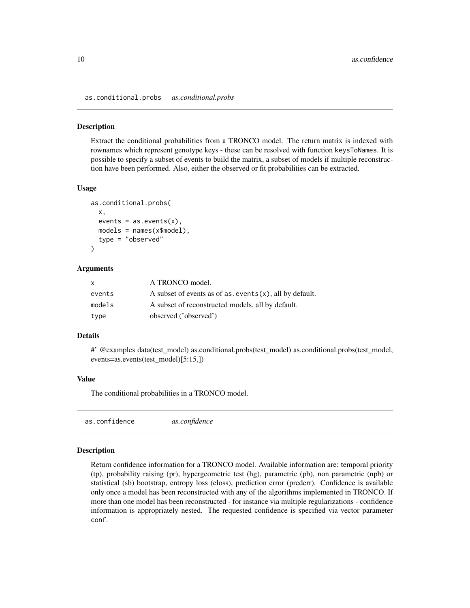<span id="page-9-0"></span>as.conditional.probs *as.conditional.probs*

#### Description

Extract the conditional probabilities from a TRONCO model. The return matrix is indexed with rownames which represent genotype keys - these can be resolved with function keysToNames. It is possible to specify a subset of events to build the matrix, a subset of models if multiple reconstruction have been performed. Also, either the observed or fit probabilities can be extracted.

#### Usage

```
as.conditional.probs(
  x,
  events = as. events(x),
 models = names(x$model),
  type = "observed"
)
```
#### **Arguments**

| x      | A TRONCO model.                                               |
|--------|---------------------------------------------------------------|
| events | A subset of events as of $as.$ events $(x)$ , all by default. |
| models | A subset of reconstructed models, all by default.             |
| type   | observed ('observed')                                         |

#### Details

#' @examples data(test\_model) as.conditional.probs(test\_model) as.conditional.probs(test\_model, events=as.events(test\_model)[5:15,])

#### Value

The conditional probabilities in a TRONCO model.

```
as.confidence as.confidence
```
#### Description

Return confidence information for a TRONCO model. Available information are: temporal priority (tp), probability raising (pr), hypergeometric test (hg), parametric (pb), non parametric (npb) or statistical (sb) bootstrap, entropy loss (eloss), prediction error (prederr). Confidence is available only once a model has been reconstructed with any of the algorithms implemented in TRONCO. If more than one model has been reconstructed - for instance via multiple regularizations - confidence information is appropriately nested. The requested confidence is specified via vector parameter conf.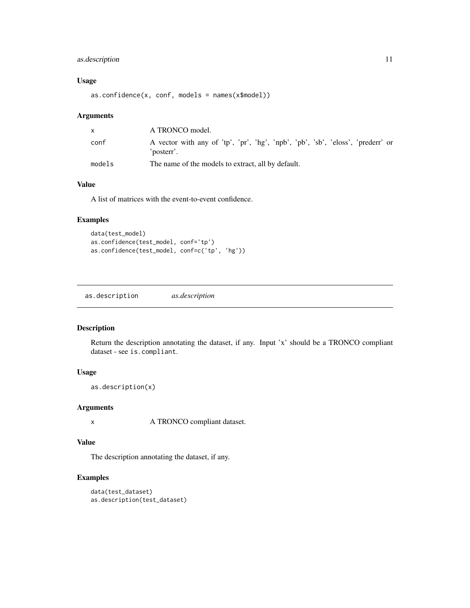## <span id="page-10-0"></span>as.description 11

## Usage

as.confidence(x, conf, models = names(x\$model))

#### Arguments

|        | A TRONCO model.                                                                               |
|--------|-----------------------------------------------------------------------------------------------|
| conf   | A vector with any of 'tp', 'pr', 'hg', 'npb', 'pb', 'sb', 'eloss', 'prederr' or<br>'posterr'. |
| models | The name of the models to extract, all by default.                                            |

#### Value

A list of matrices with the event-to-event confidence.

## Examples

```
data(test_model)
as.confidence(test_model, conf='tp')
as.confidence(test_model, conf=c('tp', 'hg'))
```
as.description *as.description*

#### Description

Return the description annotating the dataset, if any. Input 'x' should be a TRONCO compliant dataset - see is.compliant.

## Usage

as.description(x)

#### Arguments

x A TRONCO compliant dataset.

#### Value

The description annotating the dataset, if any.

```
data(test_dataset)
as.description(test_dataset)
```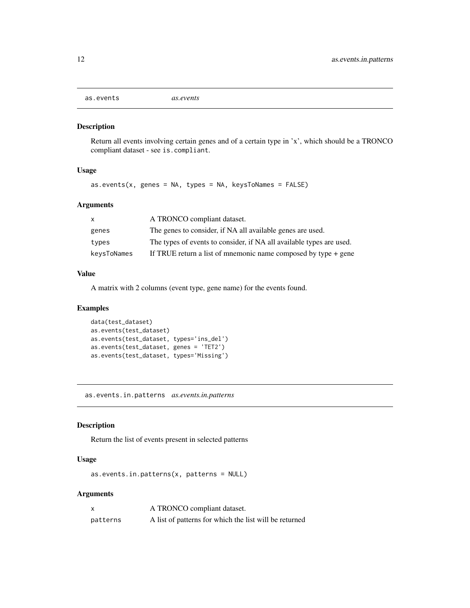<span id="page-11-0"></span>as.events *as.events*

## Description

Return all events involving certain genes and of a certain type in 'x', which should be a TRONCO compliant dataset - see is.compliant.

## Usage

 $as.events(x, genes = NA, types = NA, keysToNames = FALSE)$ 

#### Arguments

| X           | A TRONCO compliant dataset.                                          |
|-------------|----------------------------------------------------------------------|
| genes       | The genes to consider, if NA all available genes are used.           |
| types       | The types of events to consider, if NA all available types are used. |
| keysToNames | If TRUE return a list of mnemonic name composed by type $+$ gene     |

#### Value

A matrix with 2 columns (event type, gene name) for the events found.

## Examples

```
data(test_dataset)
as.events(test_dataset)
as.events(test_dataset, types='ins_del')
as.events(test_dataset, genes = 'TET2')
as.events(test_dataset, types='Missing')
```
as.events.in.patterns *as.events.in.patterns*

#### Description

Return the list of events present in selected patterns

## Usage

as.events.in.patterns(x, patterns = NULL)

|          | A TRONCO compliant dataset.                            |
|----------|--------------------------------------------------------|
| patterns | A list of patterns for which the list will be returned |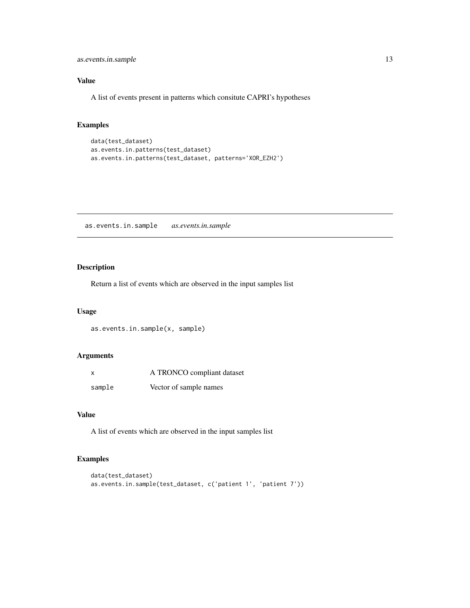<span id="page-12-0"></span>as.events.in.sample 13

## Value

A list of events present in patterns which consitute CAPRI's hypotheses

## Examples

```
data(test_dataset)
as.events.in.patterns(test_dataset)
as.events.in.patterns(test_dataset, patterns='XOR_EZH2')
```
as.events.in.sample *as.events.in.sample*

## Description

Return a list of events which are observed in the input samples list

#### Usage

as.events.in.sample(x, sample)

#### Arguments

| x      | A TRONCO compliant dataset |
|--------|----------------------------|
| sample | Vector of sample names     |

#### Value

A list of events which are observed in the input samples list

```
data(test_dataset)
as.events.in.sample(test_dataset, c('patient 1', 'patient 7'))
```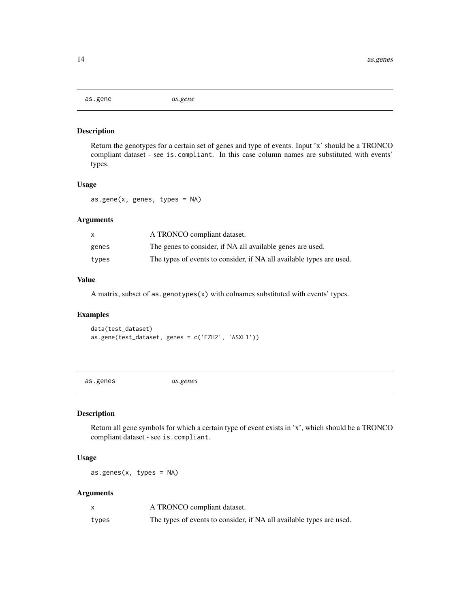<span id="page-13-0"></span>

#### Description

Return the genotypes for a certain set of genes and type of events. Input 'x' should be a TRONCO compliant dataset - see is.compliant. In this case column names are substituted with events' types.

#### Usage

as.gene(x, genes, types = NA)

#### Arguments

|       | A TRONCO compliant dataset.                                          |
|-------|----------------------------------------------------------------------|
| genes | The genes to consider, if NA all available genes are used.           |
| types | The types of events to consider, if NA all available types are used. |

## Value

A matrix, subset of as.genotypes(x) with colnames substituted with events' types.

#### Examples

data(test\_dataset) as.gene(test\_dataset, genes = c('EZH2', 'ASXL1'))

as.genes *as.genes*

## Description

Return all gene symbols for which a certain type of event exists in 'x', which should be a TRONCO compliant dataset - see is.compliant.

#### Usage

as.genes(x, types = NA)

|       | A TRONCO compliant dataset.                                          |
|-------|----------------------------------------------------------------------|
| types | The types of events to consider, if NA all available types are used. |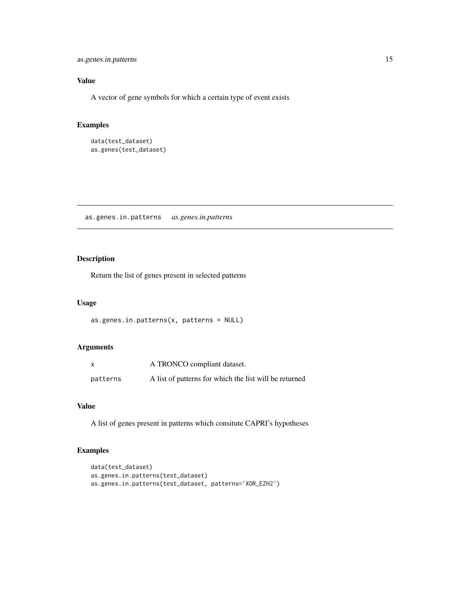<span id="page-14-0"></span>as.genes.in.patterns 15

## Value

A vector of gene symbols for which a certain type of event exists

## Examples

```
data(test_dataset)
as.genes(test_dataset)
```
as.genes.in.patterns *as.genes.in.patterns*

## Description

Return the list of genes present in selected patterns

#### Usage

```
as.genes.in.patterns(x, patterns = NULL)
```
#### Arguments

| $\boldsymbol{\mathsf{x}}$ | A TRONCO compliant dataset.                            |
|---------------------------|--------------------------------------------------------|
| patterns                  | A list of patterns for which the list will be returned |

## Value

A list of genes present in patterns which consitute CAPRI's hypotheses

```
data(test_dataset)
as.genes.in.patterns(test_dataset)
as.genes.in.patterns(test_dataset, patterns='XOR_EZH2')
```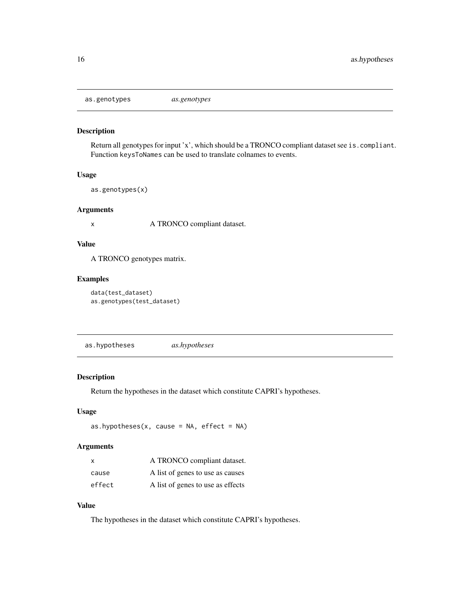<span id="page-15-0"></span>as.genotypes *as.genotypes*

#### Description

Return all genotypes for input 'x', which should be a TRONCO compliant dataset see is.compliant. Function keysToNames can be used to translate colnames to events.

#### Usage

```
as.genotypes(x)
```
#### Arguments

x A TRONCO compliant dataset.

#### Value

A TRONCO genotypes matrix.

#### Examples

```
data(test_dataset)
as.genotypes(test_dataset)
```
as.hypotheses *as.hypotheses*

#### Description

Return the hypotheses in the dataset which constitute CAPRI's hypotheses.

#### Usage

```
as.hypotheses(x, cause = NA, effect = NA)
```
#### Arguments

| X      | A TRONCO compliant dataset.       |
|--------|-----------------------------------|
| cause  | A list of genes to use as causes  |
| effect | A list of genes to use as effects |

## Value

The hypotheses in the dataset which constitute CAPRI's hypotheses.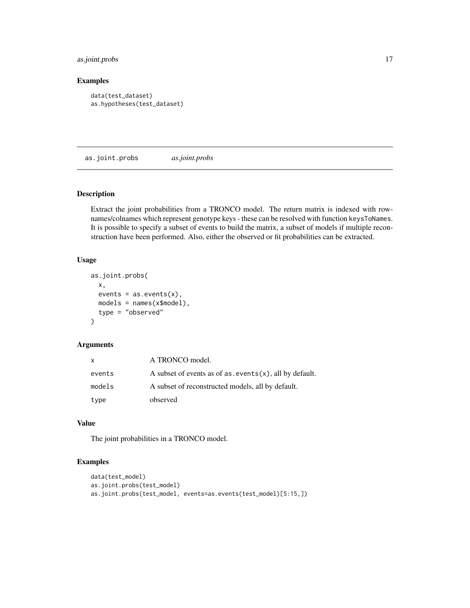## <span id="page-16-0"></span>as.joint.probs 17

#### Examples

```
data(test_dataset)
as.hypotheses(test_dataset)
```
as.joint.probs *as.joint.probs*

## Description

Extract the joint probabilities from a TRONCO model. The return matrix is indexed with rownames/colnames which represent genotype keys - these can be resolved with function keysToNames. It is possible to specify a subset of events to build the matrix, a subset of models if multiple reconstruction have been performed. Also, either the observed or fit probabilities can be extracted.

#### Usage

```
as.joint.probs(
  x,
  events = as.events(x),models = names(x$model),
  type = "observed"
\mathcal{L}
```
#### Arguments

| x      | A TRONCO model.                                               |
|--------|---------------------------------------------------------------|
| events | A subset of events as of $as.$ events $(x)$ , all by default. |
| models | A subset of reconstructed models, all by default.             |
| type   | observed                                                      |

## Value

The joint probabilities in a TRONCO model.

```
data(test_model)
as.joint.probs(test_model)
as.joint.probs(test_model, events=as.events(test_model)[5:15,])
```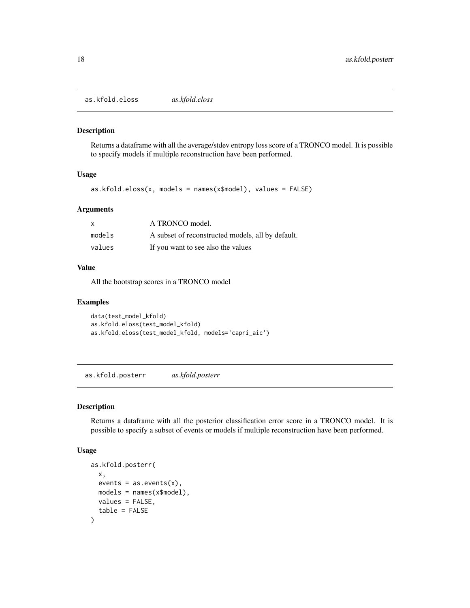<span id="page-17-0"></span>as.kfold.eloss *as.kfold.eloss*

## Description

Returns a dataframe with all the average/stdev entropy loss score of a TRONCO model. It is possible to specify models if multiple reconstruction have been performed.

#### Usage

as.kfold.eloss(x, models = names(x\$model), values = FALSE)

#### Arguments

| $\mathsf{x}$ | A TRONCO model.                                   |
|--------------|---------------------------------------------------|
| models       | A subset of reconstructed models, all by default. |
| values       | If you want to see also the values                |

#### Value

All the bootstrap scores in a TRONCO model

#### Examples

```
data(test_model_kfold)
as.kfold.eloss(test_model_kfold)
as.kfold.eloss(test_model_kfold, models='capri_aic')
```
as.kfold.posterr *as.kfold.posterr*

#### Description

Returns a dataframe with all the posterior classification error score in a TRONCO model. It is possible to specify a subset of events or models if multiple reconstruction have been performed.

#### Usage

```
as.kfold.posterr(
 x,
 events = as. events(x),
 models = names(x$model),
 values = FALSE,
  table = FALSE
)
```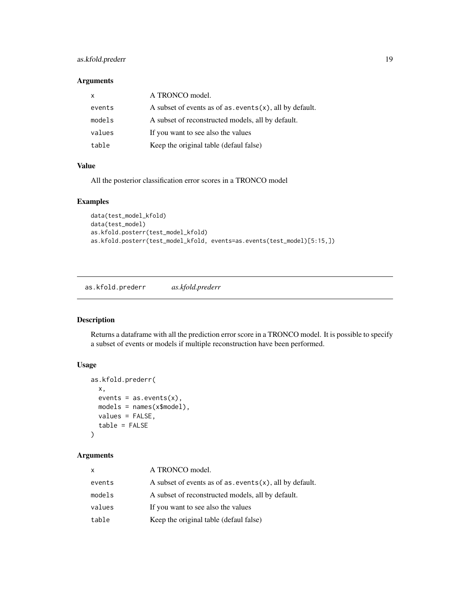## <span id="page-18-0"></span>as.kfold.prederr 19

#### Arguments

| x      | A TRONCO model.                                               |
|--------|---------------------------------------------------------------|
| events | A subset of events as of $as.$ events $(x)$ , all by default. |
| models | A subset of reconstructed models, all by default.             |
| values | If you want to see also the values                            |
| table  | Keep the original table (defaul false)                        |

#### Value

All the posterior classification error scores in a TRONCO model

## Examples

```
data(test_model_kfold)
data(test_model)
as.kfold.posterr(test_model_kfold)
as.kfold.posterr(test_model_kfold, events=as.events(test_model)[5:15,])
```
as.kfold.prederr *as.kfold.prederr*

#### Description

Returns a dataframe with all the prediction error score in a TRONCO model. It is possible to specify a subset of events or models if multiple reconstruction have been performed.

## Usage

```
as.kfold.prederr(
  x,
  events = as.events(x),models = names(x$model),
  values = FALSE,
  table = FALSE
\mathcal{L}
```

| x      | A TRONCO model.                                               |
|--------|---------------------------------------------------------------|
| events | A subset of events as of $as.$ events $(x)$ , all by default. |
| models | A subset of reconstructed models, all by default.             |
| values | If you want to see also the values                            |
| table  | Keep the original table (defaul false)                        |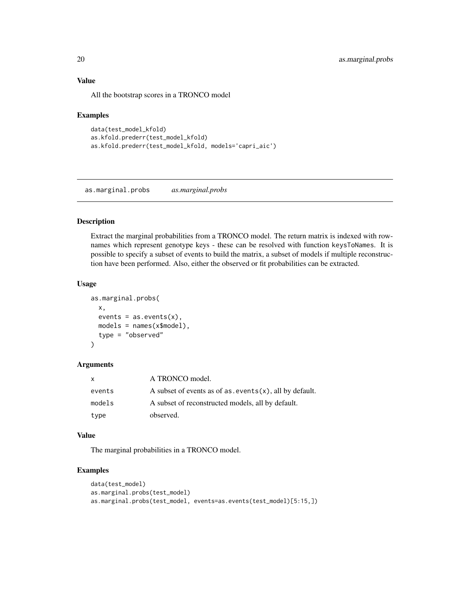#### Value

All the bootstrap scores in a TRONCO model

#### Examples

```
data(test_model_kfold)
as.kfold.prederr(test_model_kfold)
as.kfold.prederr(test_model_kfold, models='capri_aic')
```
as.marginal.probs *as.marginal.probs*

## Description

Extract the marginal probabilities from a TRONCO model. The return matrix is indexed with rownames which represent genotype keys - these can be resolved with function keysToNames. It is possible to specify a subset of events to build the matrix, a subset of models if multiple reconstruction have been performed. Also, either the observed or fit probabilities can be extracted.

#### Usage

```
as.marginal.probs(
  x,
 events = as.events(x),models = names(x$model),
  type = "observed"
)
```
#### **Arguments**

| X      | A TRONCO model.                                               |
|--------|---------------------------------------------------------------|
| events | A subset of events as of $as.$ events $(x)$ , all by default. |
| models | A subset of reconstructed models, all by default.             |
| type   | observed.                                                     |

#### Value

The marginal probabilities in a TRONCO model.

```
data(test_model)
as.marginal.probs(test_model)
as.marginal.probs(test_model, events=as.events(test_model)[5:15,])
```
<span id="page-19-0"></span>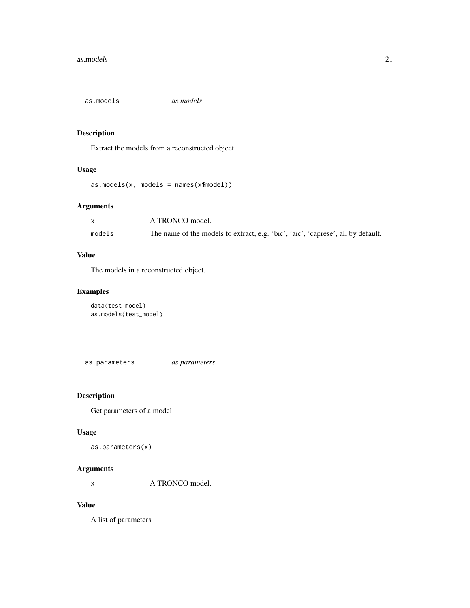<span id="page-20-0"></span>as.models *as.models*

## Description

Extract the models from a reconstructed object.

## Usage

as.models(x, models = names(x\$model))

## Arguments

|        | A TRONCO model.                                                                  |
|--------|----------------------------------------------------------------------------------|
| models | The name of the models to extract, e.g. 'bic', 'aic', 'caprese', all by default. |

## Value

The models in a reconstructed object.

## Examples

```
data(test_model)
as.models(test_model)
```
as.parameters *as.parameters*

## Description

Get parameters of a model

## Usage

```
as.parameters(x)
```
## Arguments

x A TRONCO model.

#### Value

A list of parameters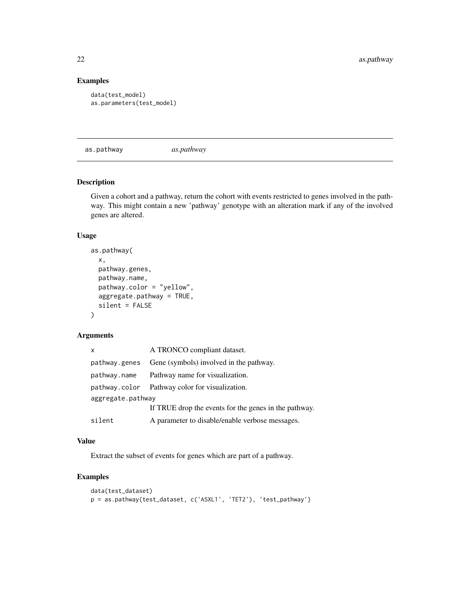## Examples

```
data(test_model)
as.parameters(test_model)
```
as.pathway *as.pathway*

## Description

Given a cohort and a pathway, return the cohort with events restricted to genes involved in the pathway. This might contain a new 'pathway' genotype with an alteration mark if any of the involved genes are altered.

#### Usage

```
as.pathway(
 x,
 pathway.genes,
 pathway.name,
 pathway.color = "yellow",
 aggregate.pathway = TRUE,
 silent = FALSE
)
```
#### Arguments

| x                 | A TRONCO compliant dataset.                           |
|-------------------|-------------------------------------------------------|
| pathway.genes     | Gene (symbols) involved in the pathway.               |
| pathway.name      | Pathway name for visualization.                       |
| pathway.color     | Pathway color for visualization.                      |
| aggregate.pathway |                                                       |
|                   | If TRUE drop the events for the genes in the pathway. |
| silent            | A parameter to disable/enable verbose messages.       |

## Value

Extract the subset of events for genes which are part of a pathway.

```
data(test_dataset)
p = as.pathway(test_dataset, c('ASXL1', 'TET2'), 'test_pathway')
```
<span id="page-21-0"></span>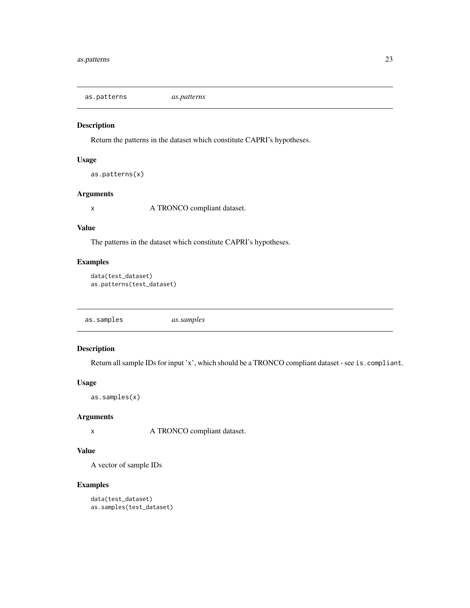<span id="page-22-0"></span>as.patterns *as.patterns*

#### Description

Return the patterns in the dataset which constitute CAPRI's hypotheses.

#### Usage

as.patterns(x)

## Arguments

x A TRONCO compliant dataset.

## Value

The patterns in the dataset which constitute CAPRI's hypotheses.

## Examples

```
data(test_dataset)
as.patterns(test_dataset)
```
as.samples *as.samples*

## Description

Return all sample IDs for input 'x', which should be a TRONCO compliant dataset - see is.compliant.

#### Usage

```
as.samples(x)
```
#### Arguments

x A TRONCO compliant dataset.

## Value

A vector of sample IDs

```
data(test_dataset)
as.samples(test_dataset)
```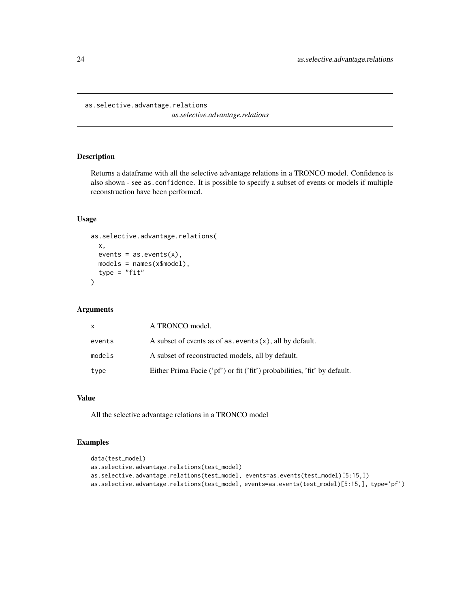<span id="page-23-0"></span>as.selective.advantage.relations

*as.selective.advantage.relations*

#### Description

Returns a dataframe with all the selective advantage relations in a TRONCO model. Confidence is also shown - see as.confidence. It is possible to specify a subset of events or models if multiple reconstruction have been performed.

#### Usage

```
as.selective.advantage.relations(
  x,
  events = as.events(x),models = names(x$model),
  type = "fit"\lambda
```
#### Arguments

| x      | A TRONCO model.                                                           |
|--------|---------------------------------------------------------------------------|
| events | A subset of events as of $as.$ events $(x)$ , all by default.             |
| models | A subset of reconstructed models, all by default.                         |
| type   | Either Prima Facie ('pf') or fit ('fit') probabilities, 'fit' by default. |

## Value

All the selective advantage relations in a TRONCO model

```
data(test_model)
as.selective.advantage.relations(test_model)
as.selective.advantage.relations(test_model, events=as.events(test_model)[5:15,])
as.selective.advantage.relations(test_model, events=as.events(test_model)[5:15,], type='pf')
```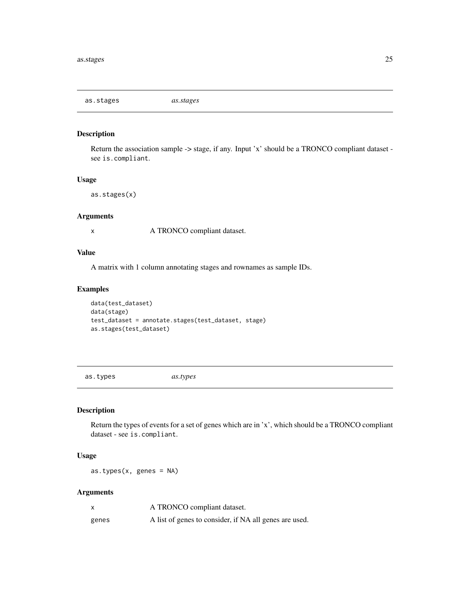<span id="page-24-0"></span>as.stages *as.stages*

## Description

Return the association sample -> stage, if any. Input 'x' should be a TRONCO compliant dataset see is.compliant.

#### Usage

as.stages(x)

#### Arguments

x A TRONCO compliant dataset.

#### Value

A matrix with 1 column annotating stages and rownames as sample IDs.

#### Examples

```
data(test_dataset)
data(stage)
test_dataset = annotate.stages(test_dataset, stage)
as.stages(test_dataset)
```
as.types *as.types*

## Description

Return the types of events for a set of genes which are in 'x', which should be a TRONCO compliant dataset - see is.compliant.

#### Usage

as.types(x, genes = NA)

|       | A TRONCO compliant dataset.                            |
|-------|--------------------------------------------------------|
| genes | A list of genes to consider, if NA all genes are used. |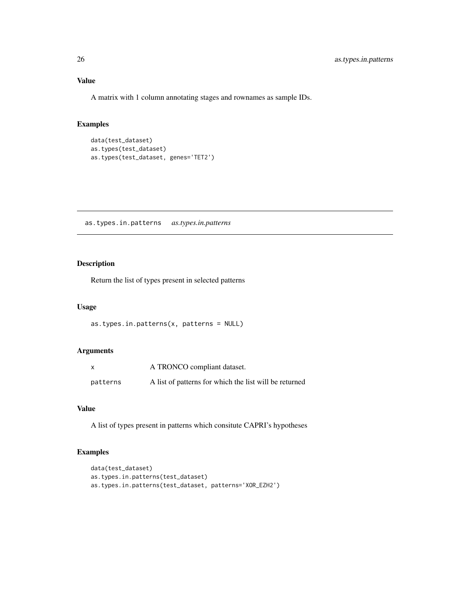<span id="page-25-0"></span>A matrix with 1 column annotating stages and rownames as sample IDs.

#### Examples

```
data(test_dataset)
as.types(test_dataset)
as.types(test_dataset, genes='TET2')
```
as.types.in.patterns *as.types.in.patterns*

#### Description

Return the list of types present in selected patterns

#### Usage

```
as.types.in.patterns(x, patterns = NULL)
```
## Arguments

|          | A TRONCO compliant dataset.                            |
|----------|--------------------------------------------------------|
| patterns | A list of patterns for which the list will be returned |

#### Value

A list of types present in patterns which consitute CAPRI's hypotheses

```
data(test_dataset)
as.types.in.patterns(test_dataset)
as.types.in.patterns(test_dataset, patterns='XOR_EZH2')
```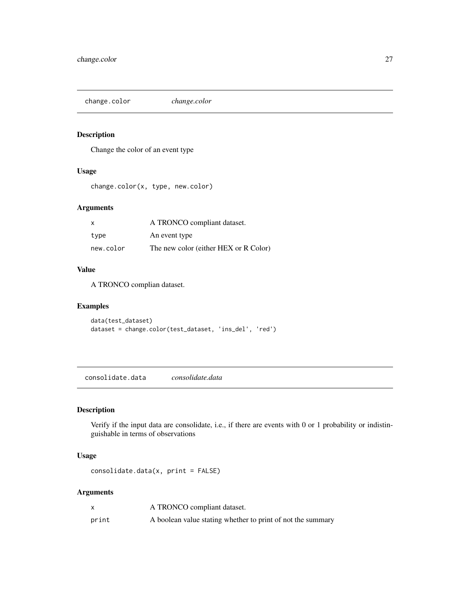<span id="page-26-0"></span>change.color *change.color*

## Description

Change the color of an event type

#### Usage

change.color(x, type, new.color)

## Arguments

| $\mathsf{x}$ | A TRONCO compliant dataset.           |
|--------------|---------------------------------------|
| tvpe         | An event type                         |
| new.color    | The new color (either HEX or R Color) |

#### Value

A TRONCO complian dataset.

## Examples

```
data(test_dataset)
dataset = change.color(test_dataset, 'ins_del', 'red')
```
consolidate.data *consolidate.data*

## Description

Verify if the input data are consolidate, i.e., if there are events with 0 or 1 probability or indistinguishable in terms of observations

## Usage

consolidate.data(x, print = FALSE)

|       | A TRONCO compliant dataset.                                 |
|-------|-------------------------------------------------------------|
| print | A boolean value stating whether to print of not the summary |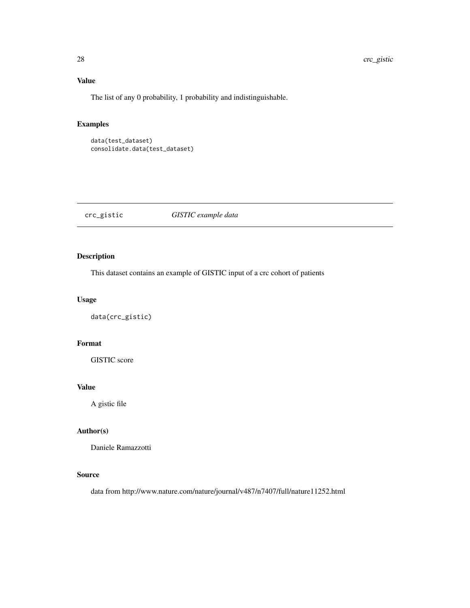## Value

The list of any 0 probability, 1 probability and indistinguishable.

## Examples

```
data(test_dataset)
consolidate.data(test_dataset)
```
## crc\_gistic *GISTIC example data*

## Description

This dataset contains an example of GISTIC input of a crc cohort of patients

## Usage

```
data(crc_gistic)
```
## Format

GISTIC score

#### Value

A gistic file

## Author(s)

Daniele Ramazzotti

#### Source

data from http://www.nature.com/nature/journal/v487/n7407/full/nature11252.html

<span id="page-27-0"></span>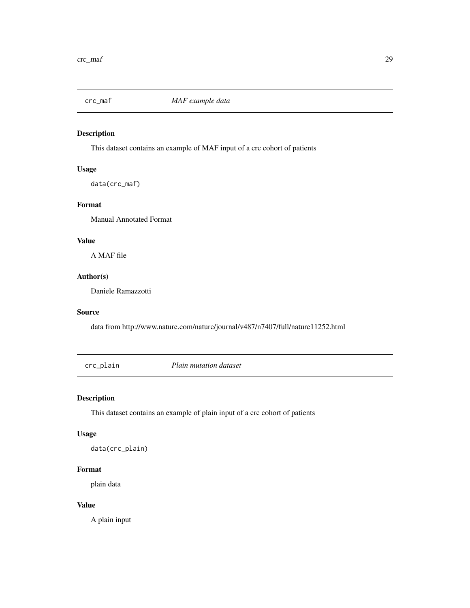<span id="page-28-0"></span>

## Description

This dataset contains an example of MAF input of a crc cohort of patients

## Usage

data(crc\_maf)

#### Format

Manual Annotated Format

## Value

A MAF file

## Author(s)

Daniele Ramazzotti

#### Source

data from http://www.nature.com/nature/journal/v487/n7407/full/nature11252.html

crc\_plain *Plain mutation dataset*

## Description

This dataset contains an example of plain input of a crc cohort of patients

#### Usage

data(crc\_plain)

## Format

plain data

#### Value

A plain input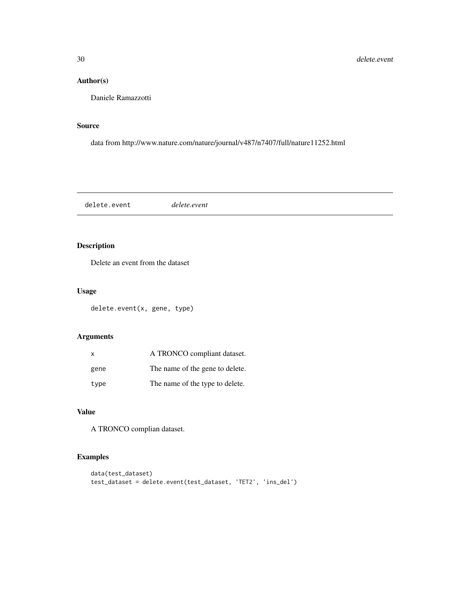## <span id="page-29-0"></span>Author(s)

Daniele Ramazzotti

#### Source

data from http://www.nature.com/nature/journal/v487/n7407/full/nature11252.html

delete.event *delete.event*

## Description

Delete an event from the dataset

## Usage

delete.event(x, gene, type)

## Arguments

| $\mathsf{x}$ | A TRONCO compliant dataset.     |
|--------------|---------------------------------|
| gene         | The name of the gene to delete. |
| type         | The name of the type to delete. |

#### Value

A TRONCO complian dataset.

```
data(test_dataset)
test_dataset = delete.event(test_dataset, 'TET2', 'ins_del')
```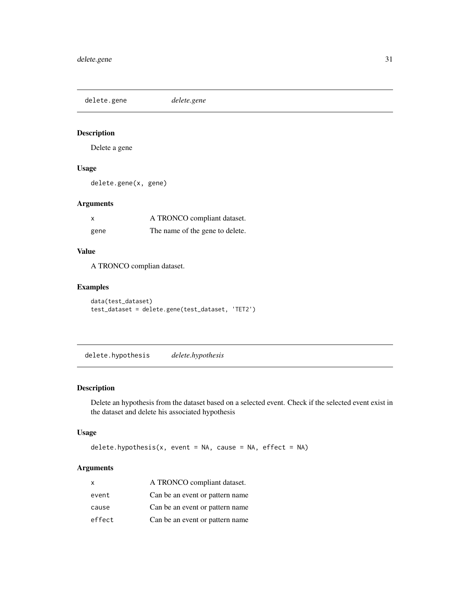<span id="page-30-0"></span>delete.gene *delete.gene*

## Description

Delete a gene

## Usage

delete.gene(x, gene)

## Arguments

| x    | A TRONCO compliant dataset.     |
|------|---------------------------------|
| gene | The name of the gene to delete. |

## Value

A TRONCO complian dataset.

## Examples

```
data(test_dataset)
test_dataset = delete.gene(test_dataset, 'TET2')
```
delete.hypothesis *delete.hypothesis*

## Description

Delete an hypothesis from the dataset based on a selected event. Check if the selected event exist in the dataset and delete his associated hypothesis

#### Usage

delete.hypothesis(x, event = NA, cause = NA, effect = NA)

| x      | A TRONCO compliant dataset.     |
|--------|---------------------------------|
| event  | Can be an event or pattern name |
| cause  | Can be an event or pattern name |
| effect | Can be an event or pattern name |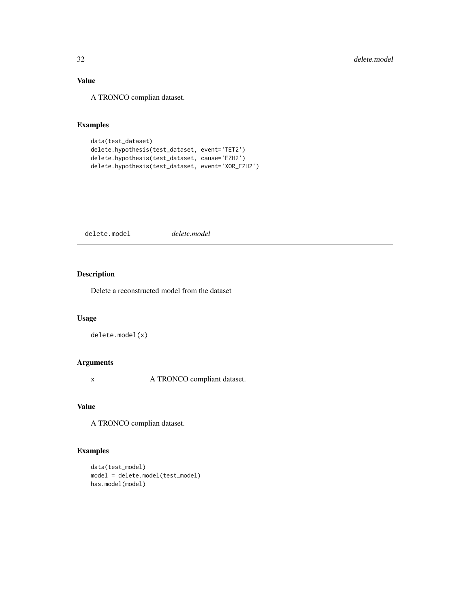## <span id="page-31-0"></span>Value

A TRONCO complian dataset.

## Examples

```
data(test_dataset)
delete.hypothesis(test_dataset, event='TET2')
delete.hypothesis(test_dataset, cause='EZH2')
delete.hypothesis(test_dataset, event='XOR_EZH2')
```
delete.model *delete.model*

## Description

Delete a reconstructed model from the dataset

#### Usage

```
delete.model(x)
```
#### Arguments

x A TRONCO compliant dataset.

## Value

A TRONCO complian dataset.

```
data(test_model)
model = delete.model(test_model)
has.model(model)
```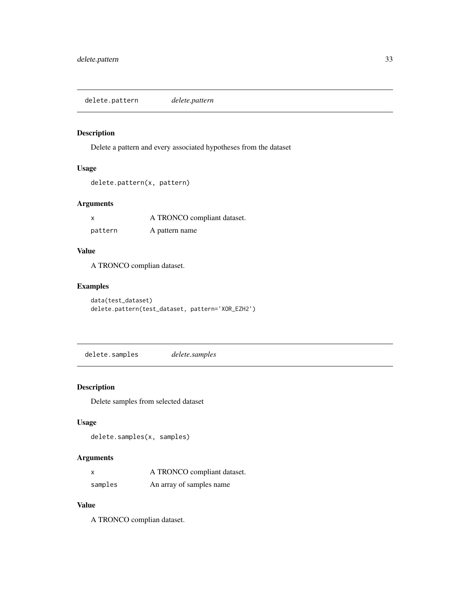<span id="page-32-0"></span>delete.pattern *delete.pattern*

## Description

Delete a pattern and every associated hypotheses from the dataset

## Usage

```
delete.pattern(x, pattern)
```
## Arguments

|         | A TRONCO compliant dataset. |
|---------|-----------------------------|
| pattern | A pattern name              |

## Value

A TRONCO complian dataset.

## Examples

```
data(test_dataset)
delete.pattern(test_dataset, pattern='XOR_EZH2')
```
delete.samples *delete.samples*

## Description

Delete samples from selected dataset

## Usage

```
delete.samples(x, samples)
```
## Arguments

| x       | A TRONCO compliant dataset. |
|---------|-----------------------------|
| samples | An array of samples name    |

#### Value

A TRONCO complian dataset.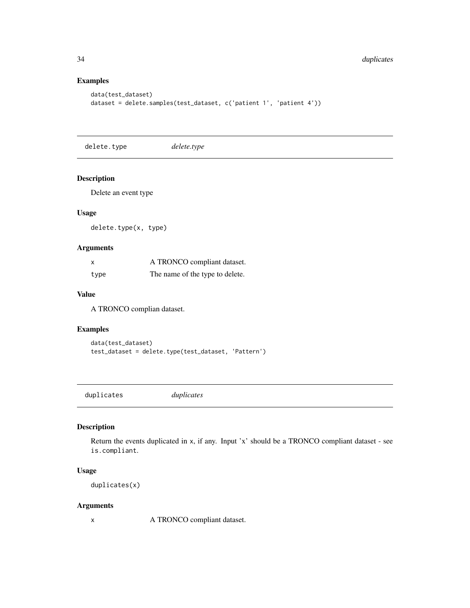## Examples

```
data(test_dataset)
dataset = delete.samples(test_dataset, c('patient 1', 'patient 4'))
```
delete.type *delete.type*

#### Description

Delete an event type

#### Usage

delete.type(x, type)

## Arguments

| X    | A TRONCO compliant dataset.     |
|------|---------------------------------|
| type | The name of the type to delete. |

#### Value

A TRONCO complian dataset.

## Examples

```
data(test_dataset)
test_dataset = delete.type(test_dataset, 'Pattern')
```
duplicates *duplicates*

## Description

Return the events duplicated in x, if any. Input 'x' should be a TRONCO compliant dataset - see is.compliant.

## Usage

duplicates(x)

## Arguments

x A TRONCO compliant dataset.

<span id="page-33-0"></span>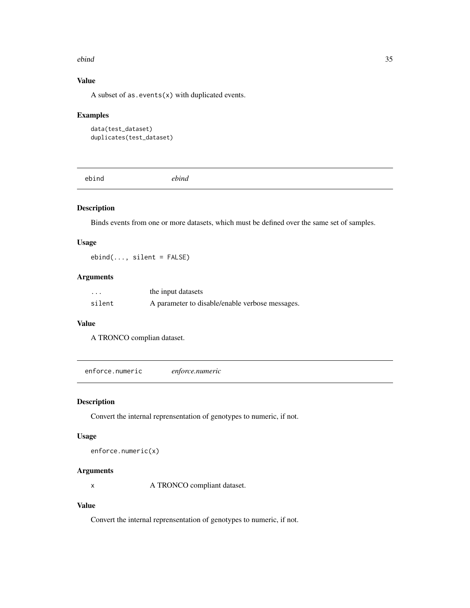#### <span id="page-34-0"></span>ebind 35

## Value

A subset of as.  $events(x)$  with duplicated events.

#### Examples

```
data(test_dataset)
duplicates(test_dataset)
```
ebind *ebind*

## Description

Binds events from one or more datasets, which must be defined over the same set of samples.

#### Usage

ebind(..., silent = FALSE)

#### Arguments

| $\cdot\cdot\cdot$ | the input datasets                              |
|-------------------|-------------------------------------------------|
| silent            | A parameter to disable/enable verbose messages. |

#### Value

A TRONCO complian dataset.

enforce.numeric *enforce.numeric*

#### Description

Convert the internal reprensentation of genotypes to numeric, if not.

#### Usage

enforce.numeric(x)

## Arguments

x A TRONCO compliant dataset.

#### Value

Convert the internal reprensentation of genotypes to numeric, if not.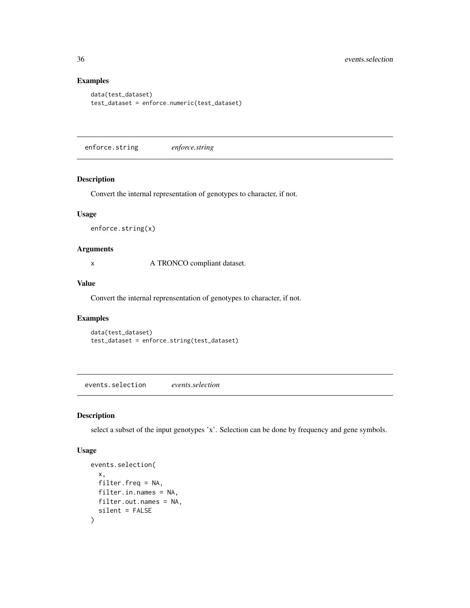## Examples

```
data(test_dataset)
test_dataset = enforce.numeric(test_dataset)
```
enforce.string *enforce.string*

#### Description

Convert the internal representation of genotypes to character, if not.

#### Usage

enforce.string(x)

#### Arguments

x A TRONCO compliant dataset.

#### Value

Convert the internal reprensentation of genotypes to character, if not.

#### Examples

```
data(test_dataset)
test_dataset = enforce.string(test_dataset)
```
events.selection *events.selection*

#### Description

select a subset of the input genotypes 'x'. Selection can be done by frequency and gene symbols.

#### Usage

```
events.selection(
  x,
  filter.freq = NA,
  filter.in.names = NA,
  filter.out.names = NA,
  silent = FALSE
\mathcal{E}
```
<span id="page-35-0"></span>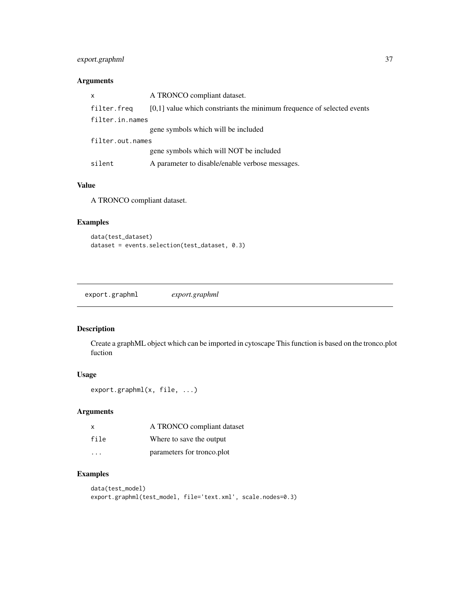## export.graphml 37

# Arguments

| x                | A TRONCO compliant dataset.                                              |
|------------------|--------------------------------------------------------------------------|
| filter.freq      | $[0,1]$ value which constriants the minimum frequence of selected events |
| filter.in.names  |                                                                          |
|                  | gene symbols which will be included                                      |
| filter.out.names |                                                                          |
|                  | gene symbols which will NOT be included                                  |
| silent           | A parameter to disable/enable verbose messages.                          |

# Value

A TRONCO compliant dataset.

## Examples

```
data(test_dataset)
dataset = events.selection(test_dataset, 0.3)
```
export.graphml *export.graphml*

## Description

Create a graphML object which can be imported in cytoscape This function is based on the tronco.plot fuction

## Usage

```
export.graphml(x, file, ...)
```
## Arguments

| X    | A TRONCO compliant dataset |
|------|----------------------------|
| file | Where to save the output   |
| .    | parameters for tronco.plot |

```
data(test_model)
export.graphml(test_model, file='text.xml', scale.nodes=0.3)
```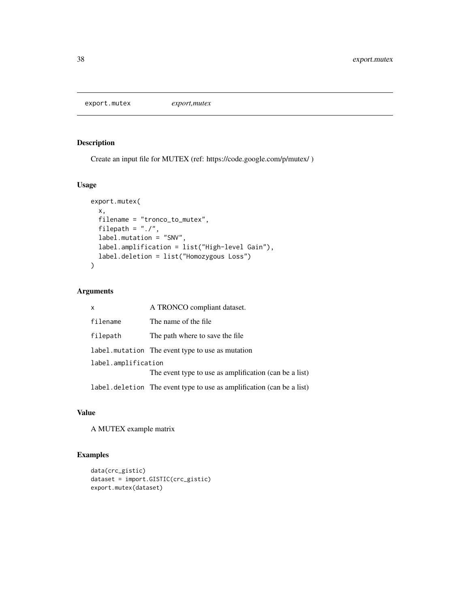export.mutex *export,mutex*

## Description

Create an input file for MUTEX (ref: https://code.google.com/p/mutex/ )

## Usage

```
export.mutex(
  x,
  filename = "tronco_to_mutex",
  filepath = "./",
 label.mutation = "SNV",
  label.amplification = list("High-level Gain"),
  label.deletion = list("Homozygous Loss")
\mathcal{L}
```
## Arguments

| $\mathsf{x}$        | A TRONCO compliant dataset.                                            |  |
|---------------------|------------------------------------------------------------------------|--|
| filename            | The name of the file.                                                  |  |
| filepath            | The path where to save the file.                                       |  |
|                     | label. mutation The event type to use as mutation                      |  |
| label.amplification |                                                                        |  |
|                     | The event type to use as amplification (can be a list)                 |  |
|                     | label. deletion The event type to use as amplification (can be a list) |  |

#### Value

A MUTEX example matrix

```
data(crc_gistic)
dataset = import.GISTIC(crc_gistic)
export.mutex(dataset)
```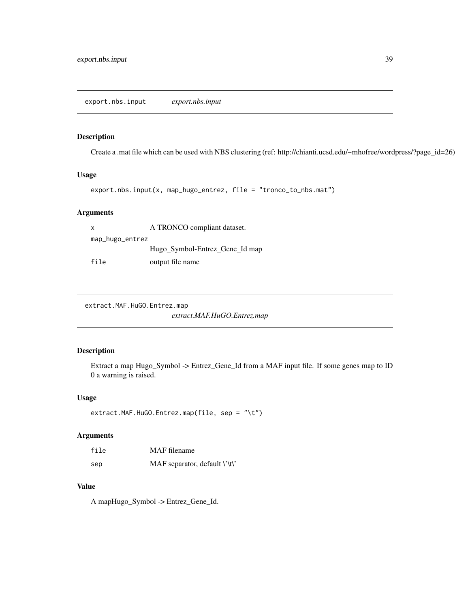export.nbs.input *export.nbs.input*

#### Description

Create a .mat file which can be used with NBS clustering (ref: http://chianti.ucsd.edu/~mhofree/wordpress/?page\_id=26)

## Usage

```
export.nbs.input(x, map_hugo_entrez, file = "tronco_to_nbs.mat")
```
#### Arguments

x A TRONCO compliant dataset. map\_hugo\_entrez Hugo\_Symbol-Entrez\_Gene\_Id map file output file name

extract.MAF.HuGO.Entrez.map

*extract.MAF.HuGO.Entrez.map*

#### Description

Extract a map Hugo\_Symbol -> Entrez\_Gene\_Id from a MAF input file. If some genes map to ID 0 a warning is raised.

#### Usage

```
extract.MAF.HuGO.Entrez.map(file, sep = "\t")
```
#### Arguments

| file | MAF filename                  |
|------|-------------------------------|
| sep  | MAF separator, default \'\t\' |

#### Value

A mapHugo\_Symbol -> Entrez\_Gene\_Id.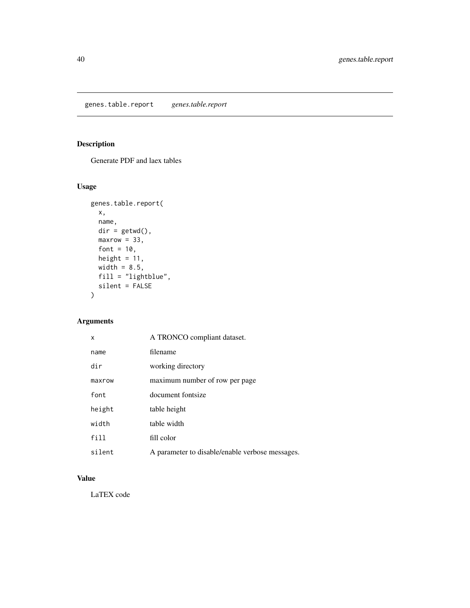genes.table.report *genes.table.report*

# Description

Generate PDF and laex tables

# Usage

```
genes.table.report(
 x,
 name,
 dir = getwd(),
 maxrow = 33,font = 10,
 height = 11,
 width = 8.5,
 fill = "lightblue",
 silent = FALSE
\mathcal{L}
```
# Arguments

| x      | A TRONCO compliant dataset.                     |
|--------|-------------------------------------------------|
| name   | filename                                        |
| dir    | working directory                               |
| maxrow | maximum number of row per page                  |
| font   | document fontsize                               |
| height | table height                                    |
| width  | table width                                     |
| fill   | fill color                                      |
| silent | A parameter to disable/enable verbose messages. |

# Value

LaTEX code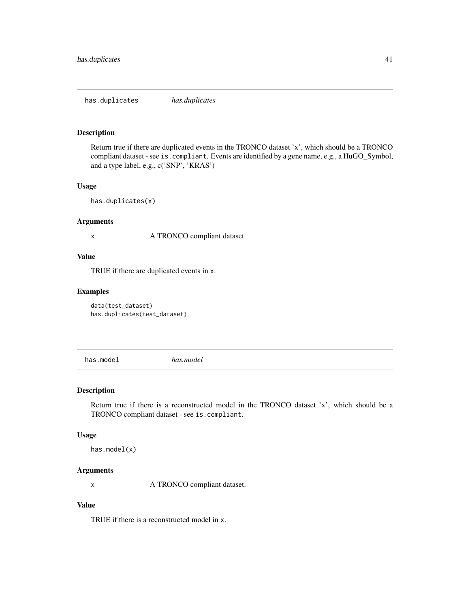has.duplicates *has.duplicates*

#### Description

Return true if there are duplicated events in the TRONCO dataset 'x', which should be a TRONCO compliant dataset - see is.compliant. Events are identified by a gene name, e.g., a HuGO\_Symbol, and a type label, e.g., c('SNP', 'KRAS')

#### Usage

has.duplicates(x)

## Arguments

x A TRONCO compliant dataset.

## Value

TRUE if there are duplicated events in x.

#### Examples

data(test\_dataset) has.duplicates(test\_dataset)

has.model *has.model*

#### Description

Return true if there is a reconstructed model in the TRONCO dataset 'x', which should be a TRONCO compliant dataset - see is.compliant.

#### Usage

has.model(x)

#### Arguments

x A TRONCO compliant dataset.

# Value

TRUE if there is a reconstructed model in x.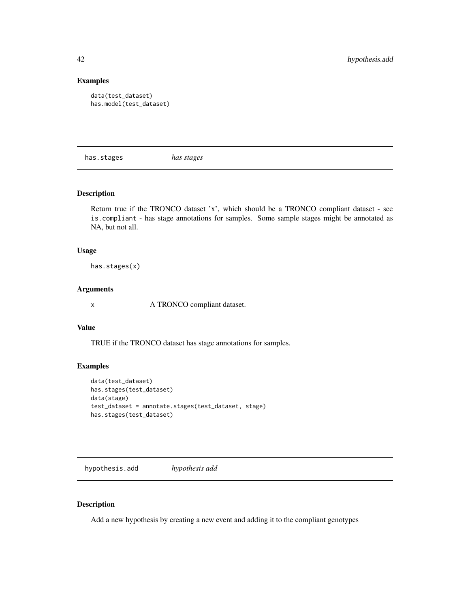#### Examples

```
data(test_dataset)
has.model(test_dataset)
```
has.stages *has stages*

## Description

Return true if the TRONCO dataset 'x', which should be a TRONCO compliant dataset - see is.compliant - has stage annotations for samples. Some sample stages might be annotated as NA, but not all.

#### Usage

has.stages(x)

## Arguments

x A TRONCO compliant dataset.

#### Value

TRUE if the TRONCO dataset has stage annotations for samples.

#### Examples

```
data(test_dataset)
has.stages(test_dataset)
data(stage)
test_dataset = annotate.stages(test_dataset, stage)
has.stages(test_dataset)
```
hypothesis.add *hypothesis add*

#### Description

Add a new hypothesis by creating a new event and adding it to the compliant genotypes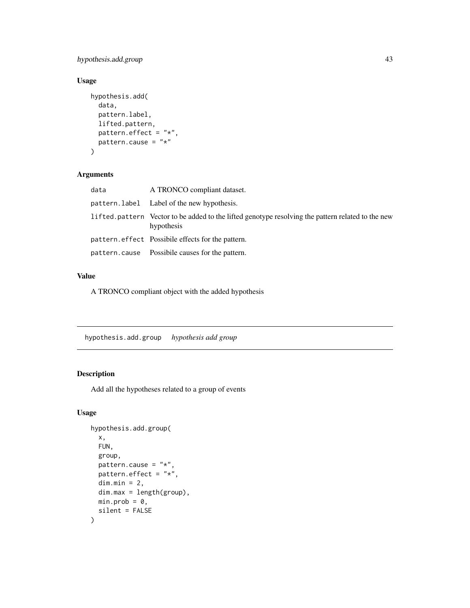hypothesis.add.group 43

# Usage

```
hypothesis.add(
  data,
  pattern.label,
  lifted.pattern,
  pattern.effect = "*",
  pattern.cause = "*"\mathcal{E}
```
# Arguments

| data | A TRONCO compliant dataset.                                                                                     |
|------|-----------------------------------------------------------------------------------------------------------------|
|      | pattern.label Label of the new hypothesis.                                                                      |
|      | lifted pattern Vector to be added to the lifted genotype resolving the pattern related to the new<br>hypothesis |
|      | pattern.effect Possibile effects for the pattern.                                                               |
|      | pattern.cause Possibile causes for the pattern.                                                                 |

#### Value

A TRONCO compliant object with the added hypothesis

hypothesis.add.group *hypothesis add group*

# Description

Add all the hypotheses related to a group of events

## Usage

```
hypothesis.add.group(
  x,
 FUN,
  group,
 pattern.cause = "*,
 pattern.effect = "*",dim.min = 2,dim.max = length(group),
 min.prob = 0,silent = FALSE
\mathcal{E}
```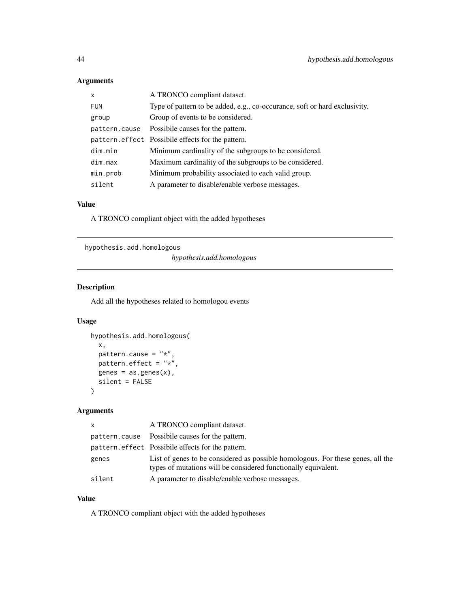# Arguments

| $\mathsf{x}$  | A TRONCO compliant dataset.                                                |
|---------------|----------------------------------------------------------------------------|
| <b>FUN</b>    | Type of pattern to be added, e.g., co-occurance, soft or hard exclusivity. |
| group         | Group of events to be considered.                                          |
| pattern.cause | Possibile causes for the pattern.                                          |
|               | pattern. effect Possibile effects for the pattern.                         |
| dim.min       | Minimum cardinality of the subgroups to be considered.                     |
| dim.max       | Maximum cardinality of the subgroups to be considered.                     |
| min.prob      | Minimum probability associated to each valid group.                        |
| silent        | A parameter to disable/enable verbose messages.                            |

# Value

A TRONCO compliant object with the added hypotheses

hypothesis.add.homologous

*hypothesis.add.homologous*

# Description

Add all the hypotheses related to homologou events

#### Usage

```
hypothesis.add.homologous(
 x,
 pattern.cause = "*",\int pattern.effect = "\star",
 genes = as.genes(x),silent = FALSE
)
```
# Arguments

| <b>X</b> | A TRONCO compliant dataset.                                                                                                                       |
|----------|---------------------------------------------------------------------------------------------------------------------------------------------------|
|          | pattern.cause Possibile causes for the pattern.                                                                                                   |
|          | pattern. effect Possibile effects for the pattern.                                                                                                |
| genes    | List of genes to be considered as possible homologous. For these genes, all the<br>types of mutations will be considered functionally equivalent. |
| silent   | A parameter to disable/enable verbose messages.                                                                                                   |

## Value

A TRONCO compliant object with the added hypotheses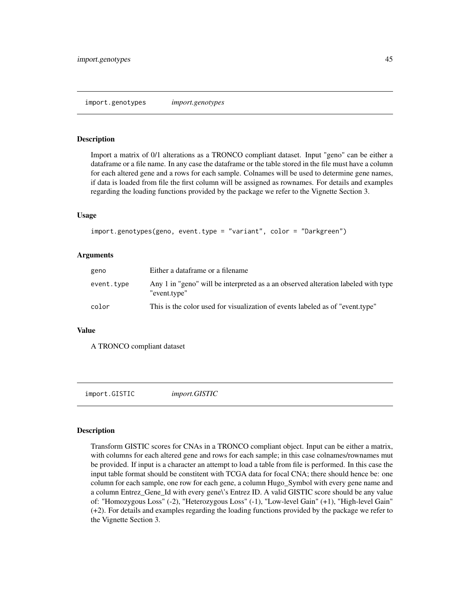#### Description

Import a matrix of 0/1 alterations as a TRONCO compliant dataset. Input "geno" can be either a dataframe or a file name. In any case the dataframe or the table stored in the file must have a column for each altered gene and a rows for each sample. Colnames will be used to determine gene names, if data is loaded from file the first column will be assigned as rownames. For details and examples regarding the loading functions provided by the package we refer to the Vignette Section 3.

#### Usage

```
import.genotypes(geno, event.type = "variant", color = "Darkgreen")
```
#### Arguments

| geno       | Either a dataframe or a filename                                                                  |
|------------|---------------------------------------------------------------------------------------------------|
| event.type | Any 1 in "geno" will be interpreted as a an observed alteration labeled with type<br>"event.type" |
| color      | This is the color used for visualization of events labeled as of "event.type"                     |

#### Value

A TRONCO compliant dataset

import.GISTIC *import.GISTIC*

#### Description

Transform GISTIC scores for CNAs in a TRONCO compliant object. Input can be either a matrix, with columns for each altered gene and rows for each sample; in this case colnames/rownames mut be provided. If input is a character an attempt to load a table from file is performed. In this case the input table format should be constitent with TCGA data for focal CNA; there should hence be: one column for each sample, one row for each gene, a column Hugo\_Symbol with every gene name and a column Entrez\_Gene\_Id with every gene\'s Entrez ID. A valid GISTIC score should be any value of: "Homozygous Loss" (-2), "Heterozygous Loss" (-1), "Low-level Gain" (+1), "High-level Gain" (+2). For details and examples regarding the loading functions provided by the package we refer to the Vignette Section 3.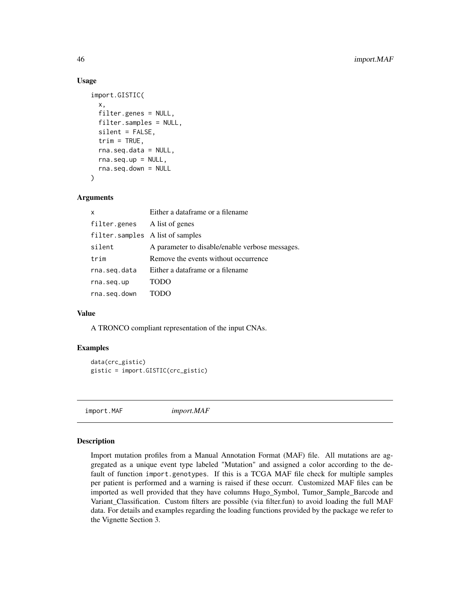#### Usage

```
import.GISTIC(
 x,
  filter.genes = NULL,
  filter.samples = NULL,
  silent = FALSE,
  trim = TRUE,rna.seq.data = NULL,
  rna.seq.up = NULL,
  rna.seq.down = NULL
)
```
#### Arguments

| X                                | Either a dataframe or a filename                |
|----------------------------------|-------------------------------------------------|
| filter.genes                     | A list of genes                                 |
| filter.samples A list of samples |                                                 |
| silent                           | A parameter to disable/enable verbose messages. |
| trim                             | Remove the events without occurrence            |
| rna.seq.data                     | Either a dataframe or a filename                |
| rna.seq.up                       | <b>TODO</b>                                     |
| rna.seg.down                     | TODO                                            |

#### Value

A TRONCO compliant representation of the input CNAs.

#### Examples

```
data(crc_gistic)
gistic = import.GISTIC(crc_gistic)
```
import.MAF *import.MAF*

#### Description

Import mutation profiles from a Manual Annotation Format (MAF) file. All mutations are aggregated as a unique event type labeled "Mutation" and assigned a color according to the default of function import.genotypes. If this is a TCGA MAF file check for multiple samples per patient is performed and a warning is raised if these occurr. Customized MAF files can be imported as well provided that they have columns Hugo\_Symbol, Tumor\_Sample\_Barcode and Variant\_Classification. Custom filters are possible (via filter.fun) to avoid loading the full MAF data. For details and examples regarding the loading functions provided by the package we refer to the Vignette Section 3.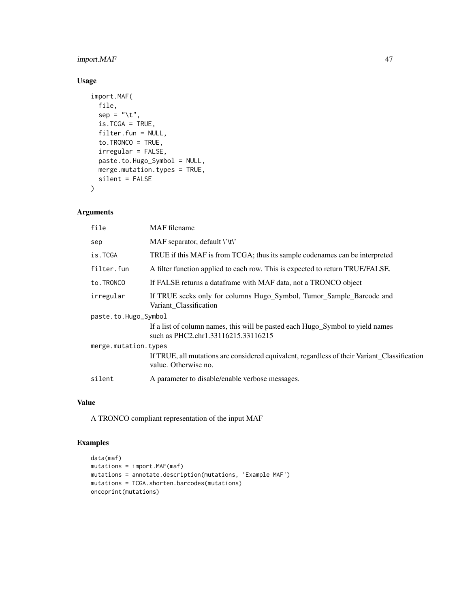# import.MAF 47

# Usage

```
import.MAF(
  file,
  sep = "\t",
 is.TCGA = TRUE,
 filter.fun = NULL,
  to.TRONCO = TRUE,
  irregular = FALSE,
 paste.to.Hugo_Symbol = NULL,
 merge.mutation.types = TRUE,
 silent = FALSE
\mathcal{L}
```
#### Arguments

| file                 | <b>MAF</b> filename                                                                                                   |  |
|----------------------|-----------------------------------------------------------------------------------------------------------------------|--|
| sep                  | MAF separator, default \'\t\'                                                                                         |  |
| is.TCGA              | TRUE if this MAF is from TCGA; thus its sample codenames can be interpreted                                           |  |
| filter.fun           | A filter function applied to each row. This is expected to return TRUE/FALSE.                                         |  |
| to.TRONCO            | If FALSE returns a dataframe with MAF data, not a TRONCO object                                                       |  |
| irregular            | If TRUE seeks only for columns Hugo_Symbol, Tumor_Sample_Barcode and<br>Variant Classification                        |  |
| paste.to.Hugo_Symbol |                                                                                                                       |  |
|                      | If a list of column names, this will be pasted each Hugo_Symbol to yield names<br>such as PHC2.chr1.33116215.33116215 |  |
| merge.mutation.types |                                                                                                                       |  |
|                      | If TRUE, all mutations are considered equivalent, regardless of their Variant_Classification<br>value. Otherwise no.  |  |
| silent               | A parameter to disable/enable verbose messages.                                                                       |  |
|                      |                                                                                                                       |  |

# Value

A TRONCO compliant representation of the input MAF

```
data(maf)
mutations = import.MAF(maf)
mutations = annotate.description(mutations, 'Example MAF')
mutations = TCGA.shorten.barcodes(mutations)
oncoprint(mutations)
```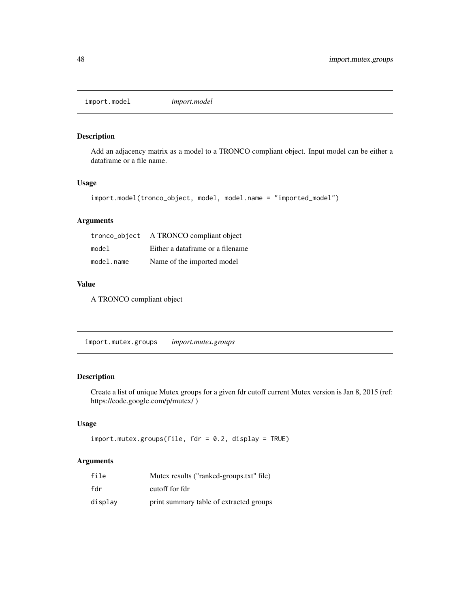import.model *import.model*

#### Description

Add an adjacency matrix as a model to a TRONCO compliant object. Input model can be either a dataframe or a file name.

#### Usage

```
import.model(tronco_object, model, model.name = "imported_model")
```
## Arguments

| tronco_object | A TRONCO compliant object        |
|---------------|----------------------------------|
| model         | Either a dataframe or a filename |
| model.name    | Name of the imported model       |

#### Value

A TRONCO compliant object

import.mutex.groups *import.mutex.groups*

## Description

Create a list of unique Mutex groups for a given fdr cutoff current Mutex version is Jan 8, 2015 (ref: https://code.google.com/p/mutex/ )

## Usage

```
import.mutex.groups(file, fdr = 0.2, display = TRUE)
```
#### Arguments

| file    | Mutex results ("ranked-groups.txt" file) |
|---------|------------------------------------------|
| fdr     | cutoff for fdr                           |
| display | print summary table of extracted groups  |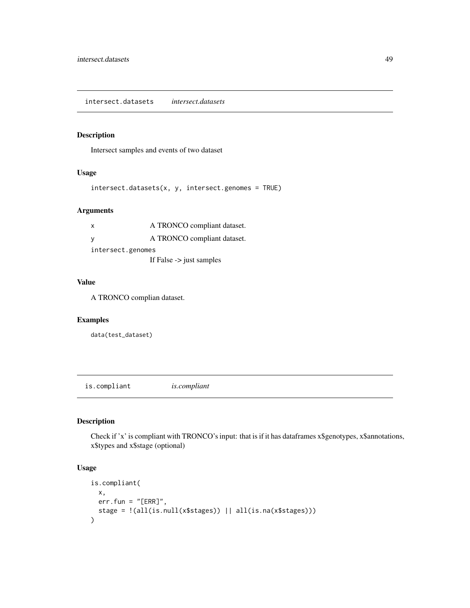# Description

Intersect samples and events of two dataset

## Usage

```
intersect.datasets(x, y, intersect.genomes = TRUE)
```
## Arguments

| x                                   | A TRONCO compliant dataset. |  |
|-------------------------------------|-----------------------------|--|
|                                     | A TRONCO compliant dataset. |  |
| intersect.genomes                   |                             |  |
| If False $\rightarrow$ just samples |                             |  |

#### Value

A TRONCO complian dataset.

## Examples

data(test\_dataset)

is.compliant *is.compliant*

#### Description

Check if 'x' is compliant with TRONCO's input: that is if it has dataframes x\$genotypes, x\$annotations, x\$types and x\$stage (optional)

## Usage

```
is.compliant(
  x,
  err.fun = "[ERR]",stage = !(all(is.null(x$stages)) || all(is.na(x$stages)))
\mathcal{L}
```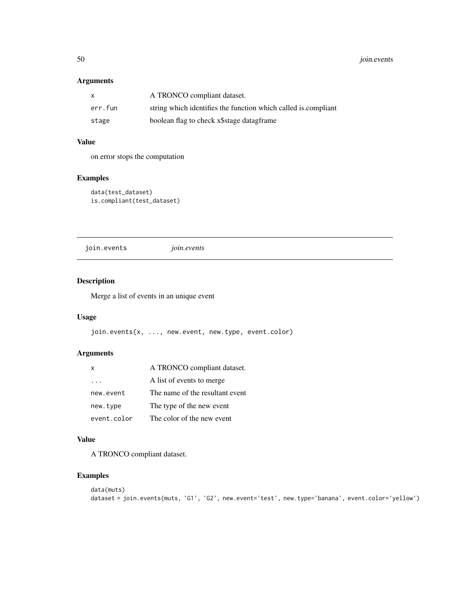# Arguments

| $\mathsf{x}$ | A TRONCO compliant dataset.                                    |
|--------------|----------------------------------------------------------------|
| err.fun      | string which identifies the function which called is compliant |
| stage        | boolean flag to check x\$stage datagframe                      |

# Value

on error stops the computation

# Examples

```
data(test_dataset)
is.compliant(test_dataset)
```
join.events *join.events*

## Description

Merge a list of events in an unique event

# Usage

```
join.events(x, ..., new.event, new.type, event.color)
```
## Arguments

| $\boldsymbol{\mathsf{x}}$ | A TRONCO compliant dataset.     |
|---------------------------|---------------------------------|
|                           | A list of events to merge       |
| new.event                 | The name of the resultant event |
| new.type                  | The type of the new event       |
| event.color               | The color of the new event      |

#### Value

A TRONCO compliant dataset.

```
data(muts)
dataset = join.events(muts, 'G1', 'G2', new.event='test', new.type='banana', event.color='yellow')
```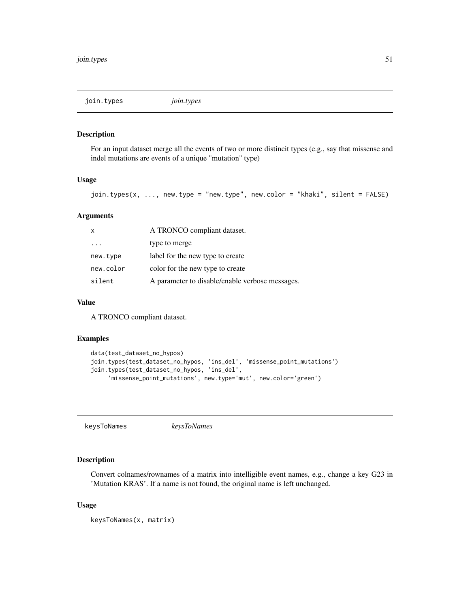join.types *join.types*

#### Description

For an input dataset merge all the events of two or more distincit types (e.g., say that missense and indel mutations are events of a unique "mutation" type)

#### Usage

```
join.types(x, ..., new.type = "new.type", new.color = "khaki", silent = FALSE)
```
#### Arguments

| $\times$                | A TRONCO compliant dataset.                     |
|-------------------------|-------------------------------------------------|
| $\cdot$ $\cdot$ $\cdot$ | type to merge                                   |
| new.type                | label for the new type to create                |
| new.color               | color for the new type to create                |
| silent                  | A parameter to disable/enable verbose messages. |

#### Value

A TRONCO compliant dataset.

#### Examples

```
data(test_dataset_no_hypos)
join.types(test_dataset_no_hypos, 'ins_del', 'missense_point_mutations')
join.types(test_dataset_no_hypos, 'ins_del',
     'missense_point_mutations', new.type='mut', new.color='green')
```
keysToNames *keysToNames*

#### Description

Convert colnames/rownames of a matrix into intelligible event names, e.g., change a key G23 in 'Mutation KRAS'. If a name is not found, the original name is left unchanged.

#### Usage

keysToNames(x, matrix)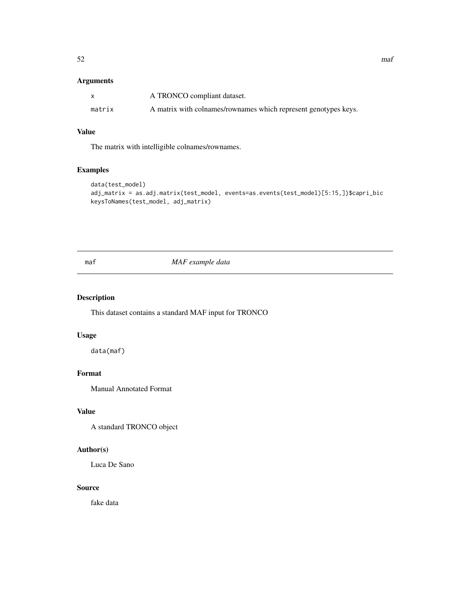## Arguments

|        | A TRONCO compliant dataset.                                     |
|--------|-----------------------------------------------------------------|
| matrix | A matrix with colnames/rownames which represent genotypes keys. |

# Value

The matrix with intelligible colnames/rownames.

# Examples

```
data(test_model)
adj_matrix = as.adj.matrix(test_model, events=as.events(test_model)[5:15,])$capri_bic
keysToNames(test_model, adj_matrix)
```
maf *MAF example data*

# Description

This dataset contains a standard MAF input for TRONCO

#### Usage

data(maf)

# Format

Manual Annotated Format

## Value

A standard TRONCO object

## Author(s)

Luca De Sano

#### Source

fake data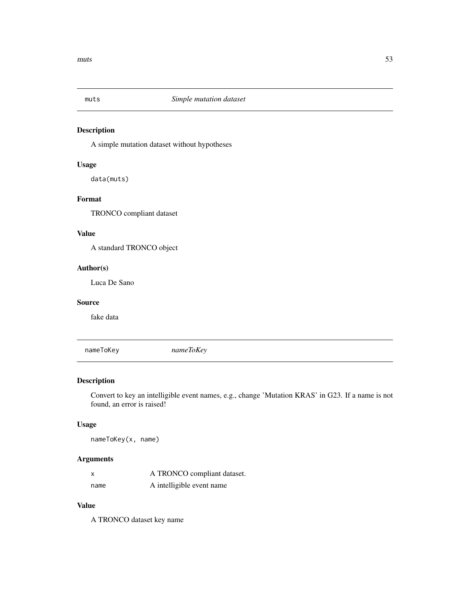#### Description

A simple mutation dataset without hypotheses

## Usage

data(muts)

# Format

TRONCO compliant dataset

# Value

A standard TRONCO object

#### Author(s)

Luca De Sano

## Source

fake data

nameToKey *nameToKey*

## Description

Convert to key an intelligible event names, e.g., change 'Mutation KRAS' in G23. If a name is not found, an error is raised!

# Usage

nameToKey(x, name)

## Arguments

| X    | A TRONCO compliant dataset. |
|------|-----------------------------|
| name | A intelligible event name   |

#### Value

A TRONCO dataset key name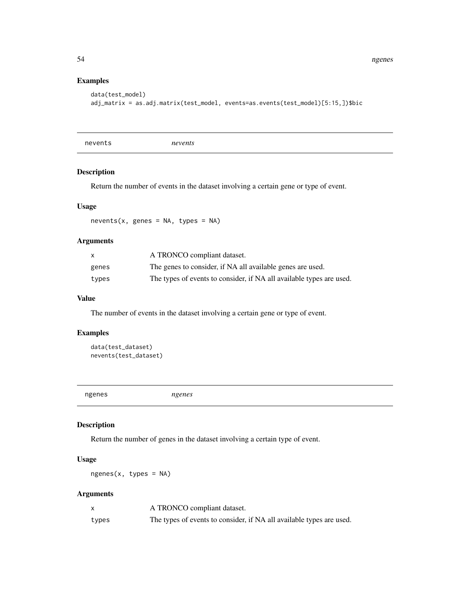54 ngenes

## Examples

```
data(test_model)
adj_matrix = as.adj.matrix(test_model, events=as.events(test_model)[5:15,])$bic
```
nevents *nevents*

## Description

Return the number of events in the dataset involving a certain gene or type of event.

### Usage

 $nevents(x, genes = NA, types = NA)$ 

## Arguments

| X     | A TRONCO compliant dataset.                                          |
|-------|----------------------------------------------------------------------|
| genes | The genes to consider, if NA all available genes are used.           |
| types | The types of events to consider, if NA all available types are used. |

#### Value

The number of events in the dataset involving a certain gene or type of event.

## Examples

```
data(test_dataset)
nevents(test_dataset)
```
ngenes *ngenes*

## Description

Return the number of genes in the dataset involving a certain type of event.

## Usage

ngenes(x, types = NA)

# Arguments

|       | A TRONCO compliant dataset.                                          |
|-------|----------------------------------------------------------------------|
| types | The types of events to consider, if NA all available types are used. |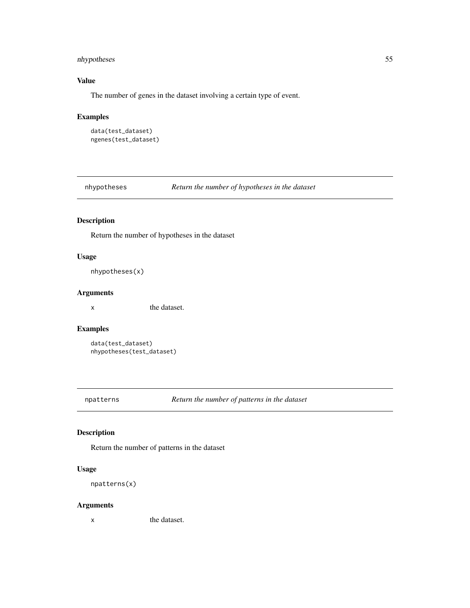## nhypotheses 55

# Value

The number of genes in the dataset involving a certain type of event.

## Examples

```
data(test_dataset)
ngenes(test_dataset)
```
nhypotheses *Return the number of hypotheses in the dataset*

# Description

Return the number of hypotheses in the dataset

#### Usage

```
nhypotheses(x)
```
#### Arguments

x the dataset.

# Examples

```
data(test_dataset)
nhypotheses(test_dataset)
```
npatterns *Return the number of patterns in the dataset*

## Description

Return the number of patterns in the dataset

# Usage

```
npatterns(x)
```
## Arguments

x the dataset.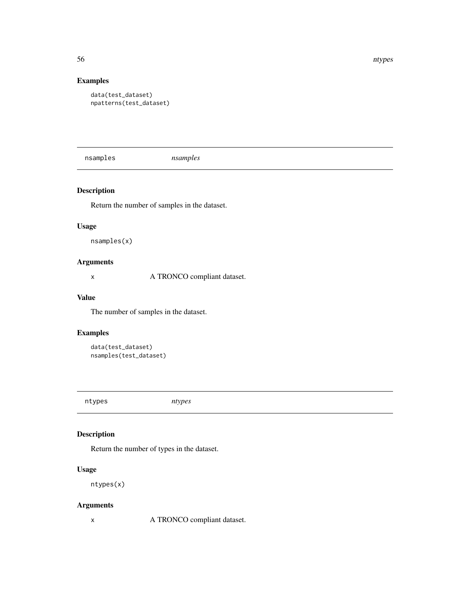56 ntypes

# Examples

```
data(test_dataset)
npatterns(test_dataset)
```
nsamples *nsamples*

# Description

Return the number of samples in the dataset.

#### Usage

nsamples(x)

# Arguments

x A TRONCO compliant dataset.

### Value

The number of samples in the dataset.

# Examples

```
data(test_dataset)
nsamples(test_dataset)
```
ntypes *ntypes*

## Description

Return the number of types in the dataset.

# Usage

ntypes(x)

## Arguments

x A TRONCO compliant dataset.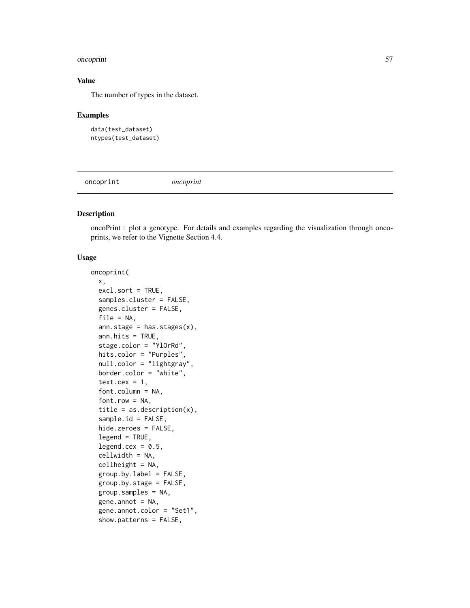#### oncoprint 57

#### Value

The number of types in the dataset.

#### Examples

```
data(test_dataset)
ntypes(test_dataset)
```
oncoprint *oncoprint*

#### Description

oncoPrint : plot a genotype. For details and examples regarding the visualization through oncoprints, we refer to the Vignette Section 4.4.

## Usage

```
oncoprint(
  x,
  excl.sort = TRUE,
  samples.cluster = FALSE,
  genes.cluster = FALSE,
  file = NA,
  ann.state = has.state(x),ann.hits = TRUE,
  stage.color = "YlOrRd",
  hits.color = "Purples",
  null.color = "lightgray",
  border.color = "white",
  text.cex = 1,
  font.column = NA,
  fontrow = NA,title = as.description(x),
  sample.id = FALSE,
  hide.zeroes = FALSE,
  legend = TRUE,legend.cex = 0.5,
  cellwidth = NA,
  cellheight = NA,
  group.bv.label = FALSE,group.by.stage = FALSE,
  group.samples = NA,
  gene.annotation = NA,gene.annot.color = "Set1",
  show.patterns = FALSE,
```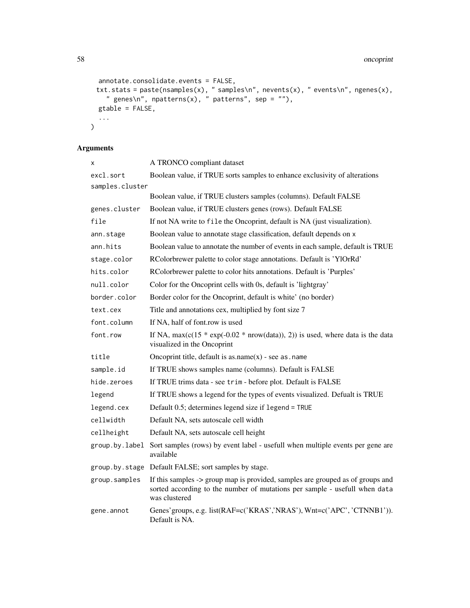```
annotate.consolidate.events = FALSE,
 txt.stats = paste(nsamples(x), " samples\n", nevents(x), " events\n", ngenes(x),
    " genes\n", npatterns(x), " patterns", sep = ""),
 gtable = FALSE,
  ...
\mathcal{L}
```
# Arguments

| x               | A TRONCO compliant dataset                                                                                                                                                    |
|-----------------|-------------------------------------------------------------------------------------------------------------------------------------------------------------------------------|
| excl.sort       | Boolean value, if TRUE sorts samples to enhance exclusivity of alterations                                                                                                    |
| samples.cluster |                                                                                                                                                                               |
|                 | Boolean value, if TRUE clusters samples (columns). Default FALSE                                                                                                              |
| genes.cluster   | Boolean value, if TRUE clusters genes (rows). Default FALSE                                                                                                                   |
| file            | If not NA write to file the Oncoprint, default is NA (just visualization).                                                                                                    |
| ann.stage       | Boolean value to annotate stage classification, default depends on x                                                                                                          |
| ann.hits        | Boolean value to annotate the number of events in each sample, default is TRUE                                                                                                |
| stage.color     | RColorbrewer palette to color stage annotations. Default is 'YlOrRd'                                                                                                          |
| hits.color      | RColorbrewer palette to color hits annotations. Default is 'Purples'                                                                                                          |
| null.color      | Color for the Oncoprint cells with 0s, default is 'lightgray'                                                                                                                 |
| border.color    | Border color for the Oncoprint, default is white' (no border)                                                                                                                 |
| text.cex        | Title and annotations cex, multiplied by font size 7                                                                                                                          |
| font.column     | If NA, half of font.row is used                                                                                                                                               |
| font.row        | If NA, $max(c(15 * exp(-0.02 * nrow(data)), 2))$ is used, where data is the data<br>visualized in the Oncoprint                                                               |
| title           | Oncoprint title, default is $as.name(x)$ - see $as.name$                                                                                                                      |
| sample.id       | If TRUE shows samples name (columns). Default is FALSE                                                                                                                        |
| hide.zeroes     | If TRUE trims data - see trim - before plot. Default is FALSE                                                                                                                 |
| legend          | If TRUE shows a legend for the types of events visualized. Defualt is TRUE                                                                                                    |
| legend.cex      | Default 0.5; determines legend size if legend = TRUE                                                                                                                          |
| cellwidth       | Default NA, sets autoscale cell width                                                                                                                                         |
| cellheight      | Default NA, sets autoscale cell height                                                                                                                                        |
| group.by.label  | Sort samples (rows) by event label - usefull when multiple events per gene are<br>available                                                                                   |
|                 | group.by.stage Default FALSE; sort samples by stage.                                                                                                                          |
| group.samples   | If this samples -> group map is provided, samples are grouped as of groups and<br>sorted according to the number of mutations per sample - usefull when data<br>was clustered |
| gene.annot      | Genes' groups, e.g. list(RAF=c('KRAS','NRAS'), Wnt=c('APC', 'CTNNB1')).<br>Default is NA.                                                                                     |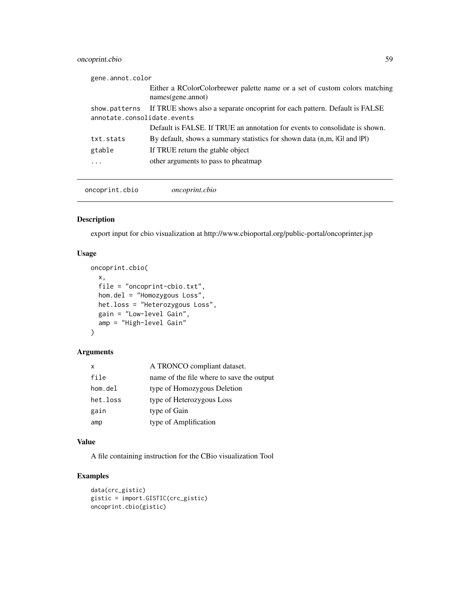# oncoprint.cbio 59

| gene.annot.color            |           |                                                                                                    |
|-----------------------------|-----------|----------------------------------------------------------------------------------------------------|
|                             |           | Either a RColorColorbrewer palette name or a set of custom colors matching<br>$names(gene.$ annot) |
|                             |           | show patterns If TRUE shows also a separate oncoprint for each pattern. Default is FALSE           |
| annotate.consolidate.events |           |                                                                                                    |
|                             |           | Default is FALSE. If TRUE an annotation for events to consolidate is shown.                        |
|                             | txt.stats | By default, shows a summary statistics for shown data (n,m, IGI and IPI)                           |
|                             | gtable    | If TRUE return the grable object                                                                   |
|                             | .         | other arguments to pass to pheatmap                                                                |
|                             |           |                                                                                                    |

oncoprint.cbio *oncoprint.cbio*

## Description

export input for cbio visualization at http://www.cbioportal.org/public-portal/oncoprinter.jsp

#### Usage

```
oncoprint.cbio(
  x,
 file = "oncoprint-cbio.txt",
 hom.del = "Homozygous Loss",
 het.loss = "Heterozygous Loss",
 gain = "Low-level Gain",
 amp = "High-level Gain"
)
```
#### Arguments

| X        | A TRONCO compliant dataset.               |
|----------|-------------------------------------------|
| file     | name of the file where to save the output |
| hom.del  | type of Homozygous Deletion               |
| het.loss | type of Heterozygous Loss                 |
| gain     | type of Gain                              |
| amp      | type of Amplification                     |

#### Value

A file containing instruction for the CBio visualization Tool

```
data(crc_gistic)
gistic = import.GISTIC(crc_gistic)
oncoprint.cbio(gistic)
```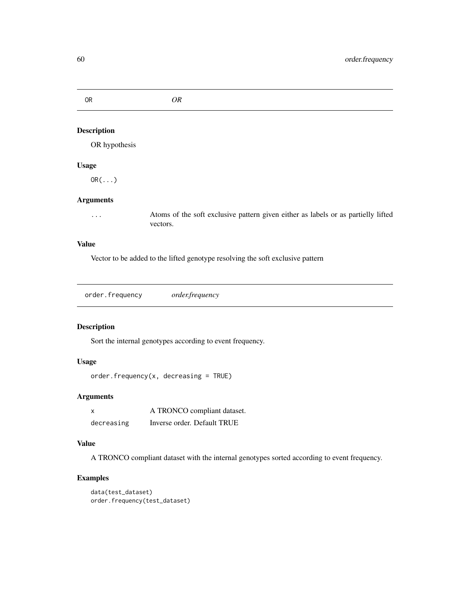OR *OR*

# Description

OR hypothesis

## Usage

OR(...)

#### Arguments

... Atoms of the soft exclusive pattern given either as labels or as partielly lifted vectors.

## Value

Vector to be added to the lifted genotype resolving the soft exclusive pattern

```
order.frequency order.frequency
```
## Description

Sort the internal genotypes according to event frequency.

## Usage

```
order.frequency(x, decreasing = TRUE)
```
## Arguments

| x          | A TRONCO compliant dataset. |
|------------|-----------------------------|
| decreasing | Inverse order. Default TRUE |

# Value

A TRONCO compliant dataset with the internal genotypes sorted according to event frequency.

```
data(test_dataset)
order.frequency(test_dataset)
```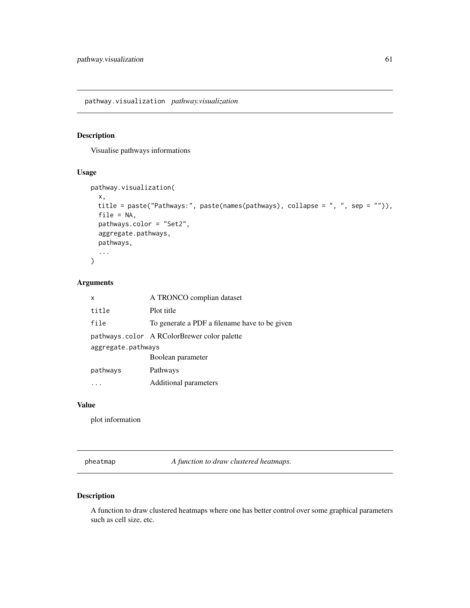pathway.visualization *pathway.visualization*

#### Description

Visualise pathways informations

## Usage

```
pathway.visualization(
  x,
 title = paste("Pathways:", paste(names(pathways), collapse = ", ", sep = "")),
  file = NA,
 pathways.color = "Set2",
  aggregate.pathways,
 pathways,
  ...
)
```
## Arguments

| x                  | A TRONCO complian dataset                     |  |
|--------------------|-----------------------------------------------|--|
| title              | Plot title                                    |  |
| file               | To generate a PDF a filename have to be given |  |
|                    | pathways.color A RColorBrewer color palette   |  |
| aggregate.pathways |                                               |  |
|                    | Boolean parameter                             |  |
| pathways           | Pathways                                      |  |
|                    | Additional parameters                         |  |

#### Value

plot information

pheatmap *A function to draw clustered heatmaps.*

# Description

A function to draw clustered heatmaps where one has better control over some graphical parameters such as cell size, etc.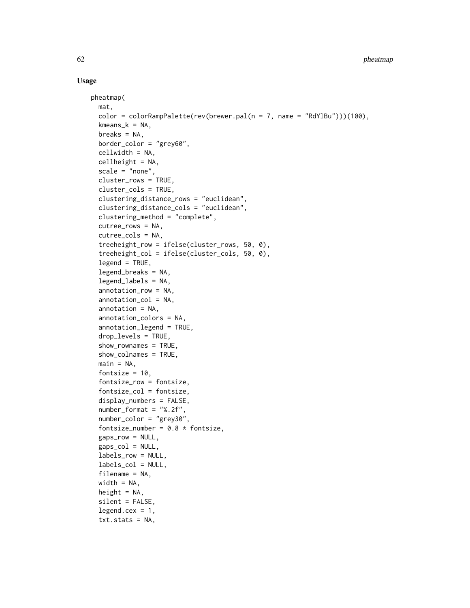## Usage

```
pheatmap(
  mat,
  color = colorRampPalette(rev(brewer.pal(n = 7, name = "RdYlBu")))(100),
  kmeans_k = NA,
  breaks = NA,
  border_color = "grey60",
  cellwidth = NA,
  cellheight = NA,
  scale = "none",
  cluster_rows = TRUE,
  cluster_cols = TRUE,
  clustering_distance_rows = "euclidean",
  clustering_distance_cols = "euclidean",
  clustering_method = "complete",
  cutree_rows = NA,
  cutree_cols = NA,
  treeheight_row = ifelse(cluster_rows, 50, 0),
  treeheight_col = ifelse(cluster_cols, 50, 0),
  legend = TRUE,legend_breaks = NA,
  legend_labels = NA,
  annotation_row = NA,
  annotation_col = NA,
  annotation = NA,
  annotation_colors = NA,
  annotation_legend = TRUE,
  drop_levels = TRUE,
  show_rownames = TRUE,
  show_colnames = TRUE,
  main = NA,
  fontsize = 10,
  fontsize_row = fontsize,
  fontsize_col = fontsize,
  display_numbers = FALSE,
  number_format = "%.2f",
  number_color = "grey30",
  fontsize_number = 0.8 * fontsize,
  gaps_row = NULL,
  gaps\_col = NULL,labels_row = NULL,
  labels_col = NULL,
  filename = NA,
  width = NA,
  height = NA,
  silent = FALSE,
  legend. cex = 1,txt.stats = NA,
```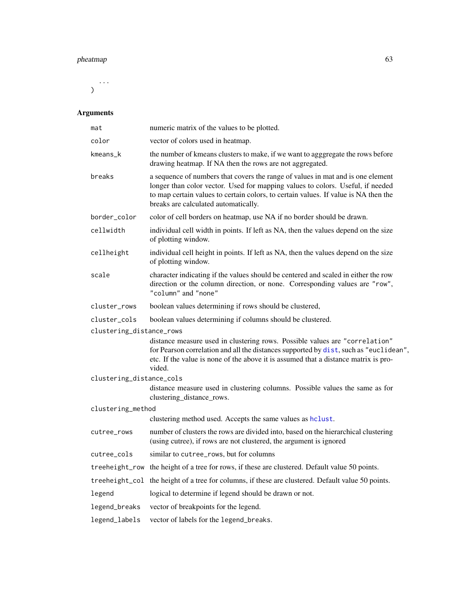#### pheatmap 63

...  $\lambda$ 

# Arguments

| mat                      | numeric matrix of the values to be plotted.                                                                                                                                                                                                                                                      |  |
|--------------------------|--------------------------------------------------------------------------------------------------------------------------------------------------------------------------------------------------------------------------------------------------------------------------------------------------|--|
| color                    | vector of colors used in heatmap.                                                                                                                                                                                                                                                                |  |
| kmeans_k                 | the number of kmeans clusters to make, if we want to agggregate the rows before<br>drawing heatmap. If NA then the rows are not aggregated.                                                                                                                                                      |  |
| breaks                   | a sequence of numbers that covers the range of values in mat and is one element<br>longer than color vector. Used for mapping values to colors. Useful, if needed<br>to map certain values to certain colors, to certain values. If value is NA then the<br>breaks are calculated automatically. |  |
| border_color             | color of cell borders on heatmap, use NA if no border should be drawn.                                                                                                                                                                                                                           |  |
| cellwidth                | individual cell width in points. If left as NA, then the values depend on the size<br>of plotting window.                                                                                                                                                                                        |  |
| cellheight               | individual cell height in points. If left as NA, then the values depend on the size<br>of plotting window.                                                                                                                                                                                       |  |
| scale                    | character indicating if the values should be centered and scaled in either the row<br>direction or the column direction, or none. Corresponding values are "row",<br>"column" and "none"                                                                                                         |  |
| cluster_rows             | boolean values determining if rows should be clustered,                                                                                                                                                                                                                                          |  |
| cluster_cols             | boolean values determining if columns should be clustered.                                                                                                                                                                                                                                       |  |
| clustering_distance_rows |                                                                                                                                                                                                                                                                                                  |  |
|                          | distance measure used in clustering rows. Possible values are "correlation"<br>for Pearson correlation and all the distances supported by dist, such as "euclidean",<br>etc. If the value is none of the above it is assumed that a distance matrix is pro-<br>vided.                            |  |
| clustering_distance_cols |                                                                                                                                                                                                                                                                                                  |  |
|                          | distance measure used in clustering columns. Possible values the same as for<br>clustering_distance_rows.                                                                                                                                                                                        |  |
| clustering_method        |                                                                                                                                                                                                                                                                                                  |  |
|                          | clustering method used. Accepts the same values as hclust.                                                                                                                                                                                                                                       |  |
| cutree_rows              | number of clusters the rows are divided into, based on the hierarchical clustering<br>(using cutree), if rows are not clustered, the argument is ignored                                                                                                                                         |  |
| cutree_cols              | similar to cutree_rows, but for columns                                                                                                                                                                                                                                                          |  |
|                          | treeheight_row the height of a tree for rows, if these are clustered. Default value 50 points.                                                                                                                                                                                                   |  |
|                          | treeheight_col the height of a tree for columns, if these are clustered. Default value 50 points.                                                                                                                                                                                                |  |
| legend                   | logical to determine if legend should be drawn or not.                                                                                                                                                                                                                                           |  |
| legend_breaks            | vector of breakpoints for the legend.                                                                                                                                                                                                                                                            |  |
| legend_labels            | vector of labels for the legend_breaks.                                                                                                                                                                                                                                                          |  |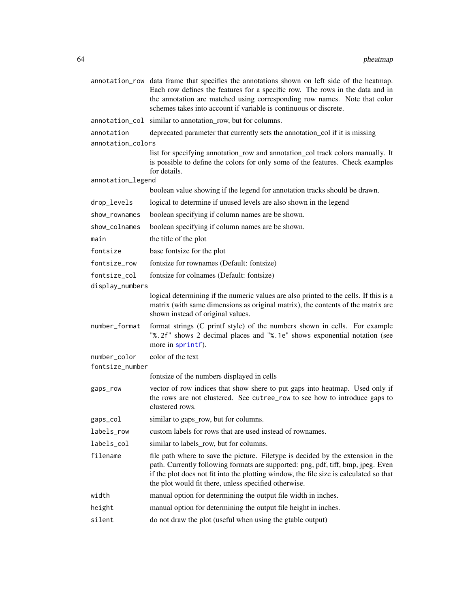|                   | annotation_row data frame that specifies the annotations shown on left side of the heatmap.<br>Each row defines the features for a specific row. The rows in the data and in<br>the annotation are matched using corresponding row names. Note that color<br>schemes takes into account if variable is continuous or discrete. |
|-------------------|--------------------------------------------------------------------------------------------------------------------------------------------------------------------------------------------------------------------------------------------------------------------------------------------------------------------------------|
|                   | annotation_col similar to annotation_row, but for columns.                                                                                                                                                                                                                                                                     |
| annotation        | deprecated parameter that currently sets the annotation_col if it is missing                                                                                                                                                                                                                                                   |
| annotation_colors |                                                                                                                                                                                                                                                                                                                                |
|                   | list for specifying annotation_row and annotation_col track colors manually. It<br>is possible to define the colors for only some of the features. Check examples<br>for details.                                                                                                                                              |
| annotation_legend |                                                                                                                                                                                                                                                                                                                                |
|                   | boolean value showing if the legend for annotation tracks should be drawn.                                                                                                                                                                                                                                                     |
| drop_levels       | logical to determine if unused levels are also shown in the legend                                                                                                                                                                                                                                                             |
| show_rownames     | boolean specifying if column names are be shown.                                                                                                                                                                                                                                                                               |
| show_colnames     | boolean specifying if column names are be shown.                                                                                                                                                                                                                                                                               |
| main              | the title of the plot                                                                                                                                                                                                                                                                                                          |
| fontsize          | base fontsize for the plot                                                                                                                                                                                                                                                                                                     |
| fontsize_row      | fontsize for rownames (Default: fontsize)                                                                                                                                                                                                                                                                                      |
| fontsize_col      | fontsize for colnames (Default: fontsize)                                                                                                                                                                                                                                                                                      |
| display_numbers   |                                                                                                                                                                                                                                                                                                                                |
|                   | logical determining if the numeric values are also printed to the cells. If this is a<br>matrix (with same dimensions as original matrix), the contents of the matrix are<br>shown instead of original values.                                                                                                                 |
| number_format     | format strings (C printf style) of the numbers shown in cells. For example<br>"%.2f" shows 2 decimal places and "%.1e" shows exponential notation (see<br>more in sprintf).                                                                                                                                                    |
| number_color      | color of the text                                                                                                                                                                                                                                                                                                              |
| fontsize_number   |                                                                                                                                                                                                                                                                                                                                |
|                   | fontsize of the numbers displayed in cells                                                                                                                                                                                                                                                                                     |
| gaps_row          | vector of row indices that show shere to put gaps into heatmap. Used only if<br>the rows are not clustered. See cutree_row to see how to introduce gaps to<br>clustered rows.                                                                                                                                                  |
| gaps_col          | similar to gaps_row, but for columns.                                                                                                                                                                                                                                                                                          |
| labels_row        | custom labels for rows that are used instead of rownames.                                                                                                                                                                                                                                                                      |
| labels_col        | similar to labels_row, but for columns.                                                                                                                                                                                                                                                                                        |
| filename          | file path where to save the picture. Filetype is decided by the extension in the<br>path. Currently following formats are supported: png, pdf, tiff, bmp, jpeg. Even<br>if the plot does not fit into the plotting window, the file size is calculated so that<br>the plot would fit there, unless specified otherwise.        |
| width             | manual option for determining the output file width in inches.                                                                                                                                                                                                                                                                 |
| height            | manual option for determining the output file height in inches.                                                                                                                                                                                                                                                                |
| silent            | do not draw the plot (useful when using the gtable output)                                                                                                                                                                                                                                                                     |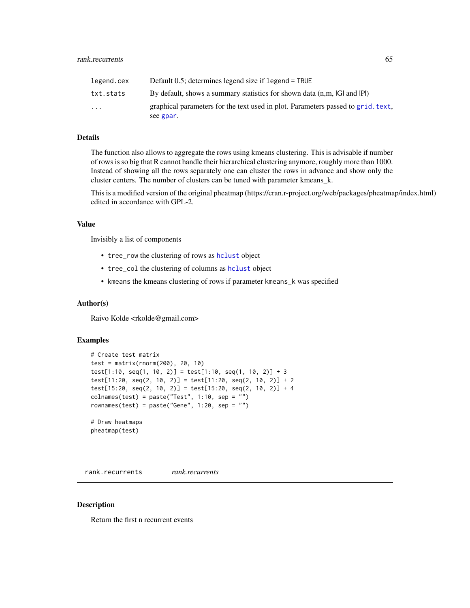| legend.cex | Default $0.5$ ; determines legend size if legend = TRUE                                       |
|------------|-----------------------------------------------------------------------------------------------|
| txt.stats  | By default, shows a summary statistics for shown data (n,m, IGI and IPI)                      |
| $\cdots$   | graphical parameters for the text used in plot. Parameters passed to grid. text,<br>see gpar. |

#### Details

The function also allows to aggregate the rows using kmeans clustering. This is advisable if number of rows is so big that R cannot handle their hierarchical clustering anymore, roughly more than 1000. Instead of showing all the rows separately one can cluster the rows in advance and show only the cluster centers. The number of clusters can be tuned with parameter kmeans\_k.

This is a modified version of the original pheatmap (https://cran.r-project.org/web/packages/pheatmap/index.html) edited in accordance with GPL-2.

#### Value

Invisibly a list of components

- tree\_row the clustering of rows as [hclust](#page-0-0) object
- tree\_col the clustering of columns as [hclust](#page-0-0) object
- kmeans the kmeans clustering of rows if parameter kmeans\_k was specified

#### Author(s)

Raivo Kolde <rkolde@gmail.com>

#### Examples

```
# Create test matrix
test = matrix(rnorm(200), 20, 10)
test[1:10, seq(1, 10, 2)] = test[1:10, seq(1, 10, 2)] + 3
test[11:20, seq(2, 10, 2)] = test[11:20, seq(2, 10, 2)] + 2
test[15:20, seq(2, 10, 2)] = test[15:20, seq(2, 10, 2)] + 4
collnames(test) = paste("Test", 1:10, sep = "")rownames(test) = paste("Gene", 1:20, sep = "")
# Draw heatmaps
pheatmap(test)
```
rank.recurrents *rank.recurrents*

#### Description

Return the first n recurrent events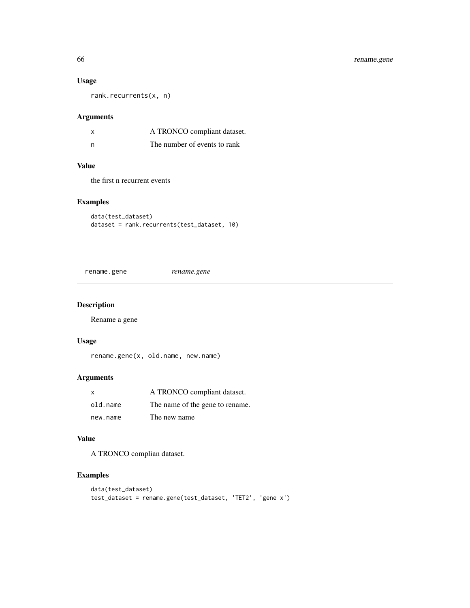# Usage

rank.recurrents(x, n)

## Arguments

| X | A TRONCO compliant dataset.  |
|---|------------------------------|
| n | The number of events to rank |

#### Value

the first n recurrent events

## Examples

data(test\_dataset) dataset = rank.recurrents(test\_dataset, 10)

rename.gene *rename.gene*

# Description

Rename a gene

## Usage

rename.gene(x, old.name, new.name)

## Arguments

| X        | A TRONCO compliant dataset.     |
|----------|---------------------------------|
| old.name | The name of the gene to rename. |
| new.name | The new name                    |

## Value

A TRONCO complian dataset.

```
data(test_dataset)
test_dataset = rename.gene(test_dataset, 'TET2', 'gene x')
```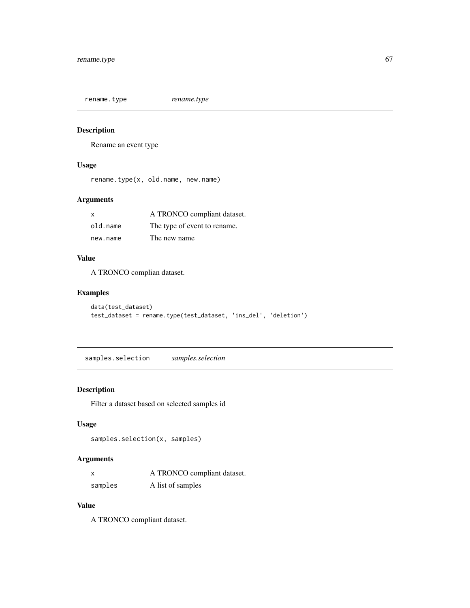rename.type *rename.type*

## Description

Rename an event type

## Usage

rename.type(x, old.name, new.name)

## Arguments

| $\mathsf{x}$ | A TRONCO compliant dataset.  |
|--------------|------------------------------|
| old.name     | The type of event to rename. |
| new.name     | The new name                 |

# Value

A TRONCO complian dataset.

## Examples

```
data(test_dataset)
test_dataset = rename.type(test_dataset, 'ins_del', 'deletion')
```
samples.selection *samples.selection*

## Description

Filter a dataset based on selected samples id

## Usage

```
samples.selection(x, samples)
```
## Arguments

| $\mathsf{x}$ | A TRONCO compliant dataset. |
|--------------|-----------------------------|
| samples      | A list of samples           |

#### Value

A TRONCO compliant dataset.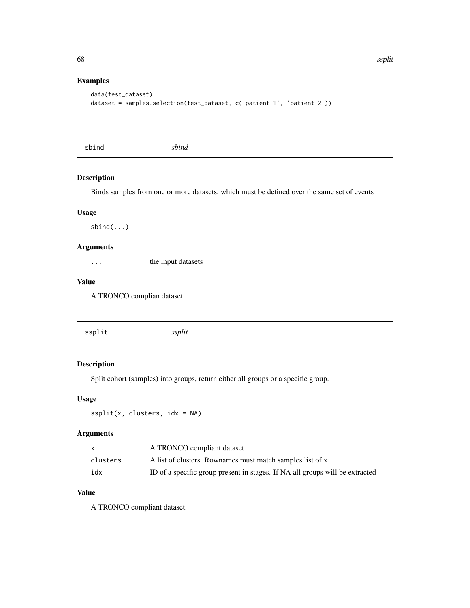# Examples

```
data(test_dataset)
dataset = samples.selection(test_dataset, c('patient 1', 'patient 2'))
```
sbind *sbind*

#### Description

Binds samples from one or more datasets, which must be defined over the same set of events

## Usage

sbind(...)

## Arguments

... the input datasets

#### Value

A TRONCO complian dataset.

# Description

Split cohort (samples) into groups, return either all groups or a specific group.

#### Usage

 $ssplit(x, clusters, idx = NA)$ 

#### Arguments

|          | A TRONCO compliant dataset.                                                  |
|----------|------------------------------------------------------------------------------|
| clusters | A list of clusters. Rownames must match samples list of x                    |
| idx      | ID of a specific group present in stages. If NA all groups will be extracted |

# Value

A TRONCO compliant dataset.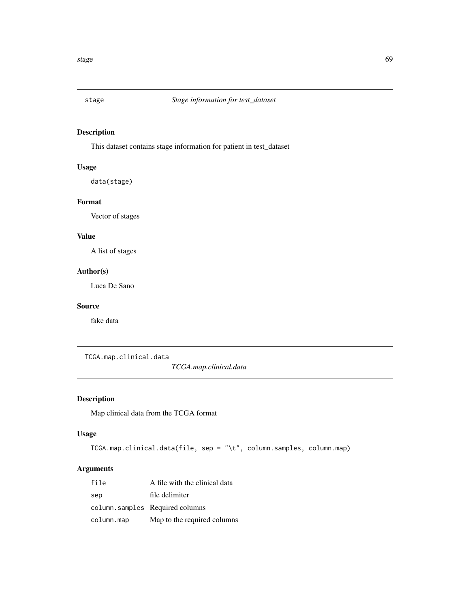## Description

This dataset contains stage information for patient in test\_dataset

## Usage

data(stage)

#### Format

Vector of stages

# Value

A list of stages

#### Author(s)

Luca De Sano

#### Source

fake data

TCGA.map.clinical.data

*TCGA.map.clinical.data*

## Description

Map clinical data from the TCGA format

#### Usage

```
TCGA.map.clinical.data(file, sep = "\t", column.samples, column.map)
```
# Arguments

| file       | A file with the clinical data   |
|------------|---------------------------------|
| sep        | file delimiter                  |
|            | column.samples Required columns |
| column.map | Map to the required columns     |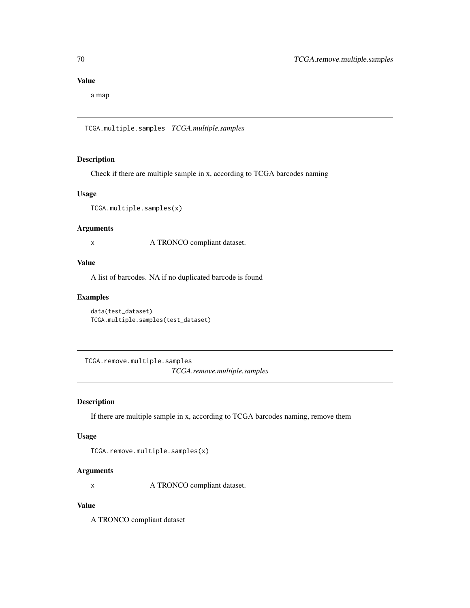# Value

a map

TCGA.multiple.samples *TCGA.multiple.samples*

### Description

Check if there are multiple sample in x, according to TCGA barcodes naming

#### Usage

TCGA.multiple.samples(x)

#### Arguments

x A TRONCO compliant dataset.

# Value

A list of barcodes. NA if no duplicated barcode is found

#### Examples

data(test\_dataset) TCGA.multiple.samples(test\_dataset)

TCGA.remove.multiple.samples *TCGA.remove.multiple.samples*

### Description

If there are multiple sample in x, according to TCGA barcodes naming, remove them

#### Usage

```
TCGA.remove.multiple.samples(x)
```
## Arguments

x A TRONCO compliant dataset.

# Value

A TRONCO compliant dataset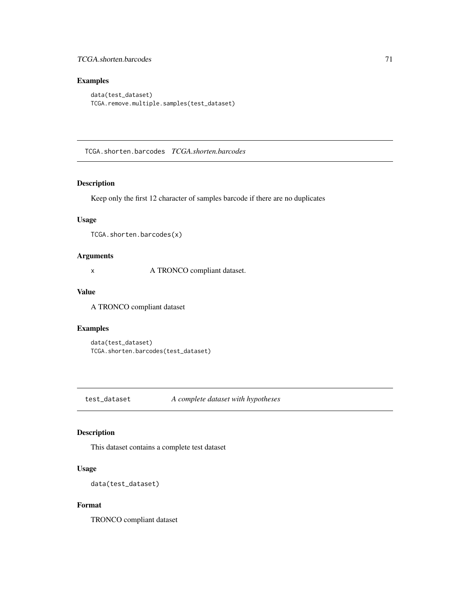### TCGA.shorten.barcodes 71

## Examples

```
data(test_dataset)
TCGA.remove.multiple.samples(test_dataset)
```
TCGA.shorten.barcodes *TCGA.shorten.barcodes*

#### Description

Keep only the first 12 character of samples barcode if there are no duplicates

#### Usage

TCGA.shorten.barcodes(x)

#### Arguments

x A TRONCO compliant dataset.

#### Value

A TRONCO compliant dataset

## Examples

data(test\_dataset) TCGA.shorten.barcodes(test\_dataset)

test\_dataset *A complete dataset with hypotheses*

#### Description

This dataset contains a complete test dataset

# Usage

```
data(test_dataset)
```
#### Format

TRONCO compliant dataset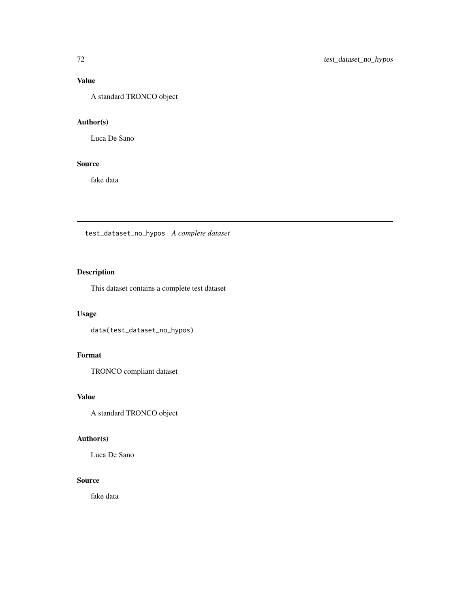# Value

A standard TRONCO object

# Author(s)

Luca De Sano

### Source

fake data

test\_dataset\_no\_hypos *A complete dataset*

# Description

This dataset contains a complete test dataset

# Usage

data(test\_dataset\_no\_hypos)

# Format

TRONCO compliant dataset

## Value

A standard TRONCO object

## Author(s)

Luca De Sano

## Source

fake data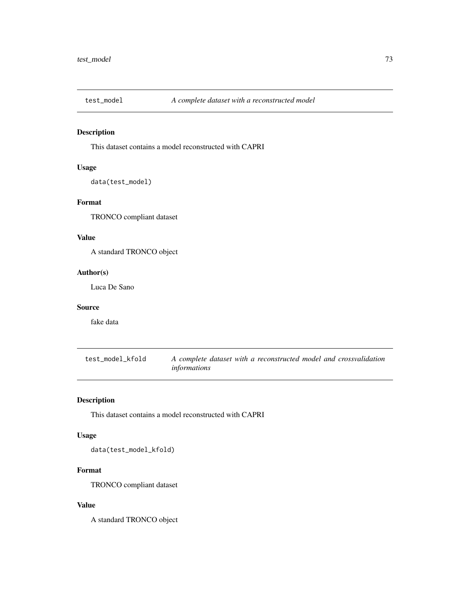<span id="page-72-0"></span>

This dataset contains a model reconstructed with CAPRI

## Usage

```
data(test_model)
```
# Format

TRONCO compliant dataset

# Value

A standard TRONCO object

### Author(s)

Luca De Sano

#### Source

fake data

test\_model\_kfold *A complete dataset with a reconstructed model and crossvalidation informations*

# Description

This dataset contains a model reconstructed with CAPRI

## Usage

data(test\_model\_kfold)

# Format

TRONCO compliant dataset

# Value

A standard TRONCO object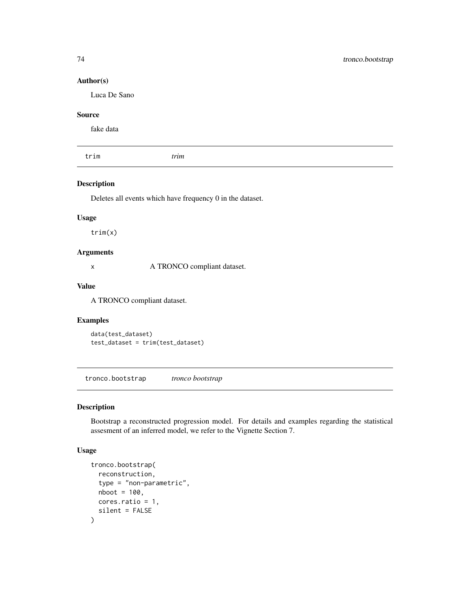### Author(s)

Luca De Sano

# Source

fake data

trim *trim*

#### Description

Deletes all events which have frequency 0 in the dataset.

## Usage

trim(x)

# Arguments

x A TRONCO compliant dataset.

#### Value

A TRONCO compliant dataset.

# Examples

```
data(test_dataset)
test_dataset = trim(test_dataset)
```
tronco.bootstrap *tronco bootstrap*

#### Description

Bootstrap a reconstructed progression model. For details and examples regarding the statistical assesment of an inferred model, we refer to the Vignette Section 7.

#### Usage

```
tronco.bootstrap(
  reconstruction,
  type = "non-parametric",
  nboot = 100,
  cores.ratio = 1,
  silent = FALSE
\mathcal{E}
```
<span id="page-73-0"></span>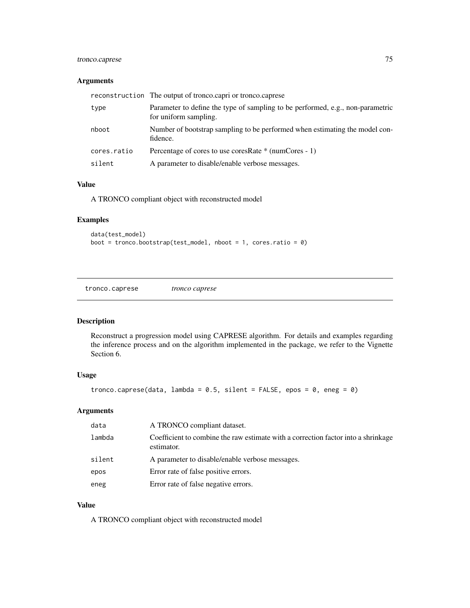# <span id="page-74-0"></span>tronco.caprese 75

### Arguments

|             | reconstruction The output of tronco.capri or tronco.caprese                                             |
|-------------|---------------------------------------------------------------------------------------------------------|
| type        | Parameter to define the type of sampling to be performed, e.g., non-parametric<br>for uniform sampling. |
| nboot       | Number of bootstrap sampling to be performed when estimating the model con-<br>fidence.                 |
| cores.ratio | Percentage of cores to use coresRate * (numCores - 1)                                                   |
| silent      | A parameter to disable/enable verbose messages.                                                         |

#### Value

A TRONCO compliant object with reconstructed model

# Examples

```
data(test_model)
boot = tronco.bootstrap(test_model, nboot = 1, cores.ratio = 0)
```
tronco.caprese *tronco caprese*

# Description

Reconstruct a progression model using CAPRESE algorithm. For details and examples regarding the inference process and on the algorithm implemented in the package, we refer to the Vignette Section 6.

# Usage

```
tronco.caprese(data, lambda = 0.5, silent = FALSE, epos = 0, eneg = 0)
```
## Arguments

| data   | A TRONCO compliant dataset.                                                                     |
|--------|-------------------------------------------------------------------------------------------------|
| lambda | Coefficient to combine the raw estimate with a correction factor into a shrinkage<br>estimator. |
| silent | A parameter to disable/enable verbose messages.                                                 |
| epos   | Error rate of false positive errors.                                                            |
| eneg   | Error rate of false negative errors.                                                            |

# Value

A TRONCO compliant object with reconstructed model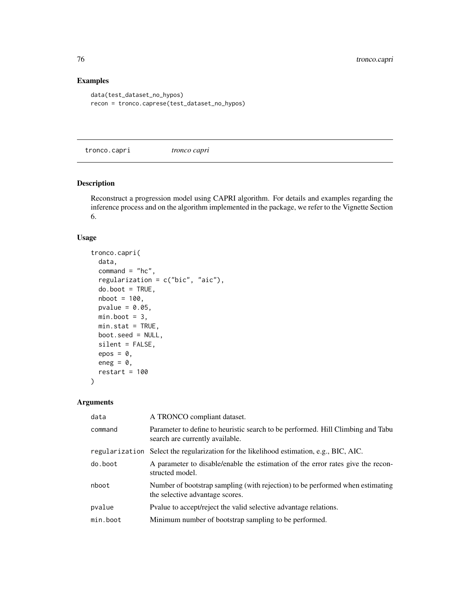# Examples

```
data(test_dataset_no_hypos)
recon = tronco.caprese(test_dataset_no_hypos)
```
tronco.capri *tronco capri*

# Description

Reconstruct a progression model using CAPRI algorithm. For details and examples regarding the inference process and on the algorithm implemented in the package, we refer to the Vignette Section 6.

## Usage

```
tronco.capri(
 data,
 command = "hc",
 regularization = c("bic", "aic"),
 do.boot = TRUE,nboot = 100,
 pvalue = 0.05,
 min.boot = 3,min.stat = TRUE,boot.seed = NULL,
  silent = FALSE,
 epos = 0,
 eneg = \theta,
 restart = 100
```

```
\lambda
```

| data           | A TRONCO compliant dataset.                                                                                        |
|----------------|--------------------------------------------------------------------------------------------------------------------|
| command        | Parameter to define to heuristic search to be performed. Hill Climbing and Tabu<br>search are currently available. |
| regularization | Select the regularization for the likelihood estimation, e.g., BIC, AIC.                                           |
| do.boot        | A parameter to disable/enable the estimation of the error rates give the recon-<br>structed model.                 |
| nboot          | Number of bootstrap sampling (with rejection) to be performed when estimating<br>the selective advantage scores.   |
| pvalue         | Pvalue to accept/reject the valid selective advantage relations.                                                   |
| min.boot       | Minimum number of bootstrap sampling to be performed.                                                              |

<span id="page-75-0"></span>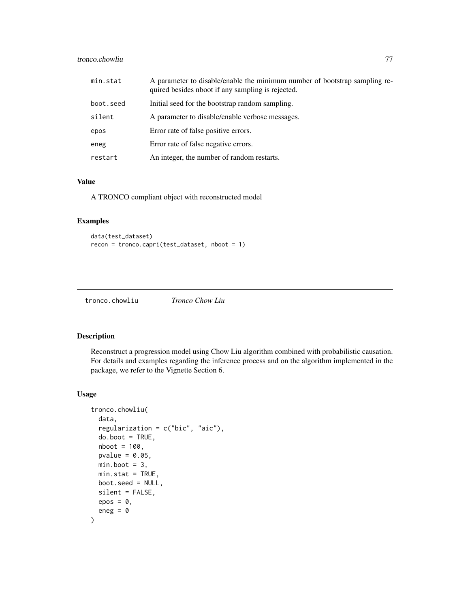#### <span id="page-76-0"></span>tronco.chowliu 77

| min.stat  | A parameter to disable/enable the minimum number of bootstrap sampling re-<br>quired besides nboot if any sampling is rejected. |
|-----------|---------------------------------------------------------------------------------------------------------------------------------|
| boot.seed | Initial seed for the bootstrap random sampling.                                                                                 |
| silent    | A parameter to disable/enable verbose messages.                                                                                 |
| epos      | Error rate of false positive errors.                                                                                            |
| eneg      | Error rate of false negative errors.                                                                                            |
| restart   | An integer, the number of random restarts.                                                                                      |

# Value

A TRONCO compliant object with reconstructed model

## Examples

```
data(test_dataset)
recon = tronco.capri(test_dataset, nboot = 1)
```
tronco.chowliu *Tronco Chow Liu*

# Description

Reconstruct a progression model using Chow Liu algorithm combined with probabilistic causation. For details and examples regarding the inference process and on the algorithm implemented in the package, we refer to the Vignette Section 6.

#### Usage

```
tronco.chowliu(
 data,
 regularization = c("bic", "aic"),
 do.boot = TRUE,nboot = 100,pvalue = 0.05,
 min.boot = 3,min.stat = TRUE,boot.seed = NULL,
 silent = FALSE,
 epos = 0,
 eneg = 0
)
```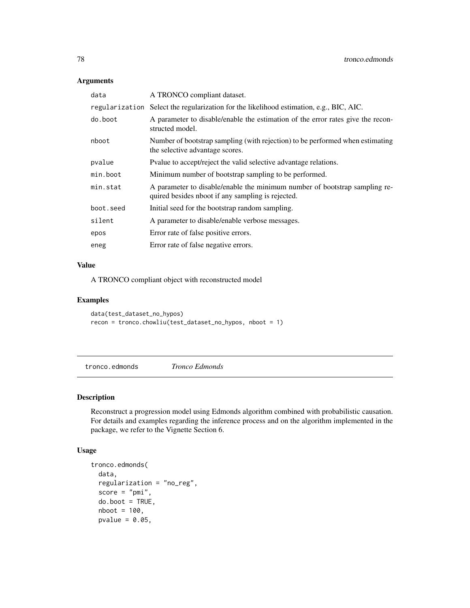## <span id="page-77-0"></span>Arguments

| data      | A TRONCO compliant dataset.                                                                                                     |
|-----------|---------------------------------------------------------------------------------------------------------------------------------|
|           | regularization Select the regularization for the likelihood estimation, e.g., BIC, AIC.                                         |
| do.boot   | A parameter to disable/enable the estimation of the error rates give the recon-<br>structed model.                              |
| nboot     | Number of bootstrap sampling (with rejection) to be performed when estimating<br>the selective advantage scores.                |
| pvalue    | Pvalue to accept/reject the valid selective advantage relations.                                                                |
| min.boot  | Minimum number of bootstrap sampling to be performed.                                                                           |
| min.stat  | A parameter to disable/enable the minimum number of bootstrap sampling re-<br>quired besides nboot if any sampling is rejected. |
| boot.seed | Initial seed for the bootstrap random sampling.                                                                                 |
| silent    | A parameter to disable/enable verbose messages.                                                                                 |
| epos      | Error rate of false positive errors.                                                                                            |
| eneg      | Error rate of false negative errors.                                                                                            |
|           |                                                                                                                                 |

#### Value

A TRONCO compliant object with reconstructed model

#### Examples

```
data(test_dataset_no_hypos)
recon = tronco.chowliu(test_dataset_no_hypos, nboot = 1)
```
tronco.edmonds *Tronco Edmonds*

## Description

Reconstruct a progression model using Edmonds algorithm combined with probabilistic causation. For details and examples regarding the inference process and on the algorithm implemented in the package, we refer to the Vignette Section 6.

#### Usage

```
tronco.edmonds(
 data,
 regularization = "no_reg",
 score = "pmi",do.boot = TRUE,nboot = 100,pvalue = 0.05,
```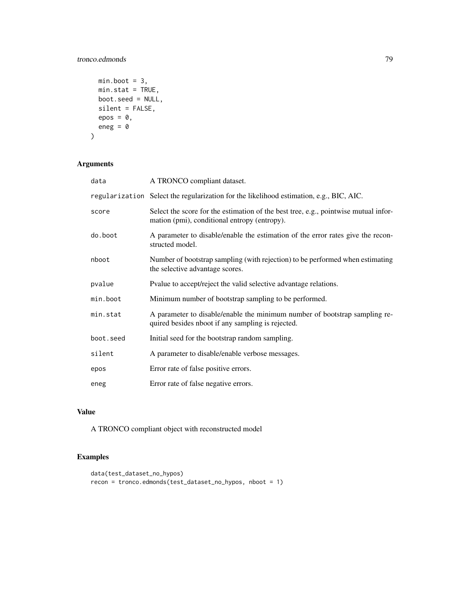# tronco.edmonds 79

```
min.boot = 3,min.stat = TRUE,
  boot.seed = NULL,
  silent = FALSE,
  epos = 0,
  eneg = 0
\mathcal{L}
```
# Arguments

| data      | A TRONCO compliant dataset.                                                                                                         |
|-----------|-------------------------------------------------------------------------------------------------------------------------------------|
|           | regularization Select the regularization for the likelihood estimation, e.g., BIC, AIC.                                             |
| score     | Select the score for the estimation of the best tree, e.g., pointwise mutual infor-<br>mation (pmi), conditional entropy (entropy). |
| do.boot   | A parameter to disable/enable the estimation of the error rates give the recon-<br>structed model.                                  |
| nboot     | Number of bootstrap sampling (with rejection) to be performed when estimating<br>the selective advantage scores.                    |
| pvalue    | Pvalue to accept/reject the valid selective advantage relations.                                                                    |
| min.boot  | Minimum number of bootstrap sampling to be performed.                                                                               |
| min.stat  | A parameter to disable/enable the minimum number of bootstrap sampling re-<br>quired besides nboot if any sampling is rejected.     |
| boot.seed | Initial seed for the bootstrap random sampling.                                                                                     |
| silent    | A parameter to disable/enable verbose messages.                                                                                     |
| epos      | Error rate of false positive errors.                                                                                                |
| eneg      | Error rate of false negative errors.                                                                                                |

# Value

A TRONCO compliant object with reconstructed model

```
data(test_dataset_no_hypos)
recon = tronco.edmonds(test_dataset_no_hypos, nboot = 1)
```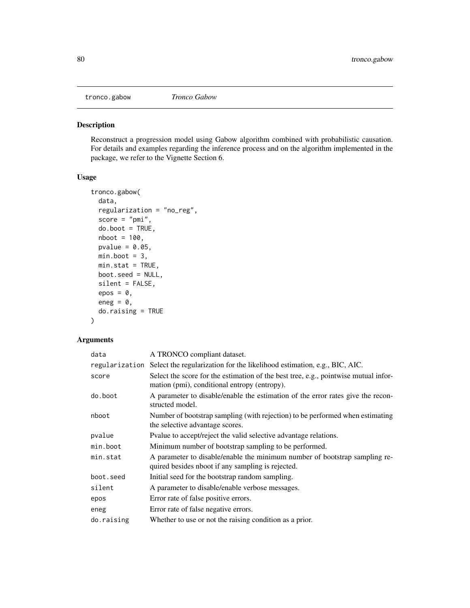<span id="page-79-0"></span>

Reconstruct a progression model using Gabow algorithm combined with probabilistic causation. For details and examples regarding the inference process and on the algorithm implemented in the package, we refer to the Vignette Section 6.

# Usage

```
tronco.gabow(
 data,
  regularization = "no_reg",
  score = "pmi",
 do.boot = TRUE,
 nboot = 100,pvalue = 0.05,
 min.boot = 3,min.stat = TRUE,boot.seed = NULL,
  silent = FALSE,
 epos = 0,
 eneg = 0,
  do.raising = TRUE
)
```

| data       | A TRONCO compliant dataset.                                                                                                         |
|------------|-------------------------------------------------------------------------------------------------------------------------------------|
|            | regularization Select the regularization for the likelihood estimation, e.g., BIC, AIC.                                             |
| score      | Select the score for the estimation of the best tree, e.g., pointwise mutual infor-<br>mation (pmi), conditional entropy (entropy). |
| do.boot    | A parameter to disable/enable the estimation of the error rates give the recon-<br>structed model.                                  |
| nboot      | Number of bootstrap sampling (with rejection) to be performed when estimating<br>the selective advantage scores.                    |
| pvalue     | Pvalue to accept/reject the valid selective advantage relations.                                                                    |
| min.boot   | Minimum number of bootstrap sampling to be performed.                                                                               |
| min.stat   | A parameter to disable/enable the minimum number of bootstrap sampling re-<br>quired besides nboot if any sampling is rejected.     |
| boot.seed  | Initial seed for the bootstrap random sampling.                                                                                     |
| silent     | A parameter to disable/enable verbose messages.                                                                                     |
| epos       | Error rate of false positive errors.                                                                                                |
| eneg       | Error rate of false negative errors.                                                                                                |
| do.raising | Whether to use or not the raising condition as a prior.                                                                             |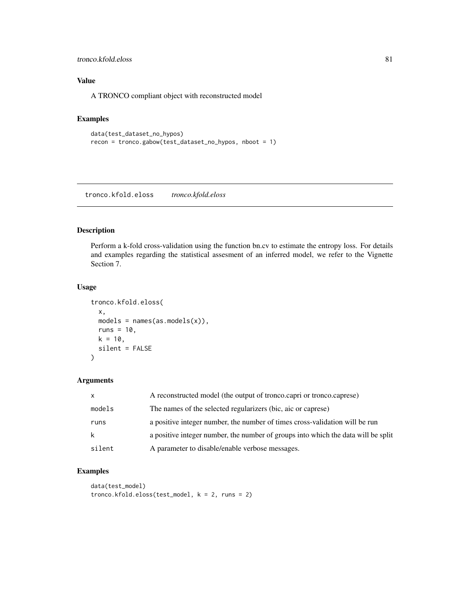#### <span id="page-80-0"></span>tronco.kfold.eloss 81

# Value

A TRONCO compliant object with reconstructed model

## Examples

```
data(test_dataset_no_hypos)
recon = tronco.gabow(test_dataset_no_hypos, nboot = 1)
```
tronco.kfold.eloss *tronco.kfold.eloss*

## Description

Perform a k-fold cross-validation using the function bn.cv to estimate the entropy loss. For details and examples regarding the statistical assesment of an inferred model, we refer to the Vignette Section 7.

#### Usage

```
tronco.kfold.eloss(
  x,
 models = names(as.models(x)),runs = 10,
 k = 10,
 silent = FALSE
)
```
## Arguments

| $\mathsf{x}$ | A reconstructed model (the output of tronco.capri or tronco.caprese)              |
|--------------|-----------------------------------------------------------------------------------|
| models       | The names of the selected regularizers (bic, aic or caprese)                      |
| runs         | a positive integer number, the number of times cross-validation will be run       |
| k            | a positive integer number, the number of groups into which the data will be split |
| silent       | A parameter to disable/enable verbose messages.                                   |

```
data(test_model)
tronco.kfold.eloss(test_model, k = 2, runs = 2)
```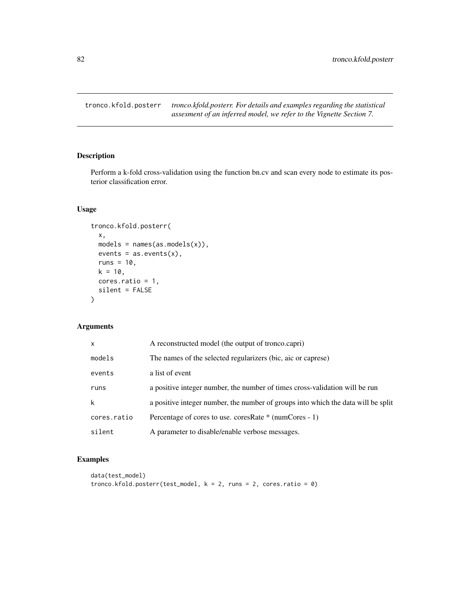<span id="page-81-0"></span>tronco.kfold.posterr *tronco.kfold.posterr. For details and examples regarding the statistical assesment of an inferred model, we refer to the Vignette Section 7.*

# Description

Perform a k-fold cross-validation using the function bn.cv and scan every node to estimate its posterior classification error.

# Usage

```
tronco.kfold.posterr(
 x,
 models = names(as.models(x)),events = as.events(x),runs = 10,
 k = 10,
 cores.ratio = 1,
 silent = FALSE
\mathcal{L}
```
# Arguments

| $\mathsf{x}$ | A reconstructed model (the output of tronco.capri)                                |  |
|--------------|-----------------------------------------------------------------------------------|--|
| models       | The names of the selected regularizers (bic, aic or caprese)                      |  |
| events       | a list of event                                                                   |  |
| runs         | a positive integer number, the number of times cross-validation will be run       |  |
| k            | a positive integer number, the number of groups into which the data will be split |  |
| cores.ratio  | Percentage of cores to use. coresRate * (numCores - 1)                            |  |
| silent       | A parameter to disable/enable verbose messages.                                   |  |

```
data(test_model)
tronco.kfold.poster(test_model, k = 2, runs = 2, cores.ratio = 0)
```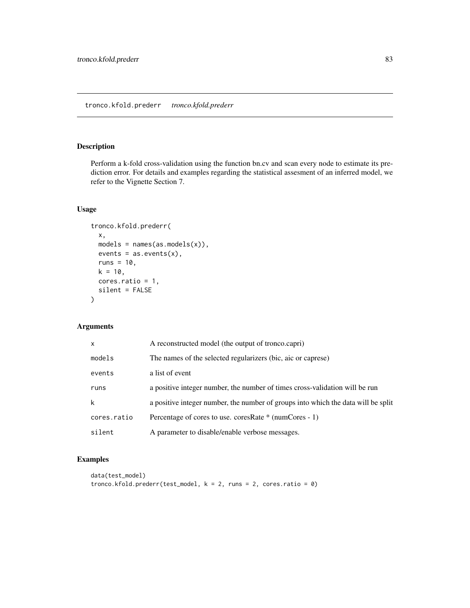<span id="page-82-0"></span>Perform a k-fold cross-validation using the function bn.cv and scan every node to estimate its prediction error. For details and examples regarding the statistical assesment of an inferred model, we refer to the Vignette Section 7.

# Usage

```
tronco.kfold.prederr(
 x,
 models = names(as.models(x)),events = as.events(x),runs = 10,
 k = 10,
 cores.ratio = 1,
 silent = FALSE
\mathcal{L}
```
# Arguments

| $\mathsf{x}$ | A reconstructed model (the output of tronco.capri)                                |  |
|--------------|-----------------------------------------------------------------------------------|--|
| models       | The names of the selected regularizers (bic, aic or caprese)                      |  |
| events       | a list of event                                                                   |  |
| runs         | a positive integer number, the number of times cross-validation will be run       |  |
| k            | a positive integer number, the number of groups into which the data will be split |  |
| cores.ratio  | Percentage of cores to use. coresRate * (numCores - 1)                            |  |
| silent       | A parameter to disable/enable verbose messages.                                   |  |

```
data(test_model)
tronco.kfold.prederr(test_model, k = 2, runs = 2, cores.ratio = 0)
```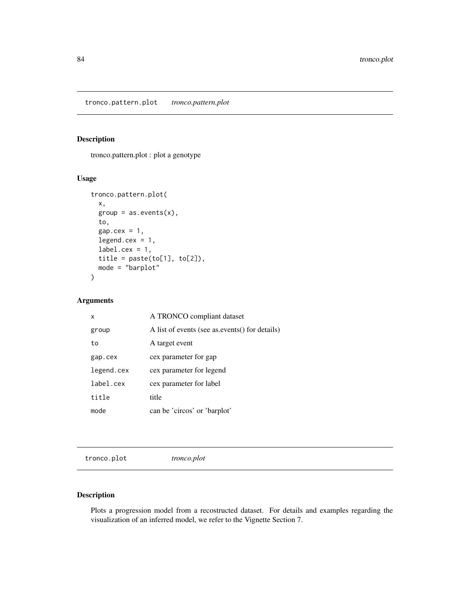<span id="page-83-0"></span>tronco.pattern.plot : plot a genotype

# Usage

```
tronco.pattern.plot(
 x,
 group = as.events(x),
 to,
 gap.cex = 1,
 legend.cex = 1,
 label.cex = 1,title = paste(to[1], to[2]),mode = "barplot"
)
```
#### Arguments

| x          | A TRONCO compliant dataset                    |
|------------|-----------------------------------------------|
| group      | A list of events (see as events) for details) |
| to         | A target event                                |
| gap.cex    | cex parameter for gap                         |
| legend.cex | cex parameter for legend                      |
| label.cex  | cex parameter for label                       |
| title      | title                                         |
| mode       | can be 'circos' or 'barplot'                  |

tronco.plot *tronco.plot*

# Description

Plots a progression model from a recostructed dataset. For details and examples regarding the visualization of an inferred model, we refer to the Vignette Section 7.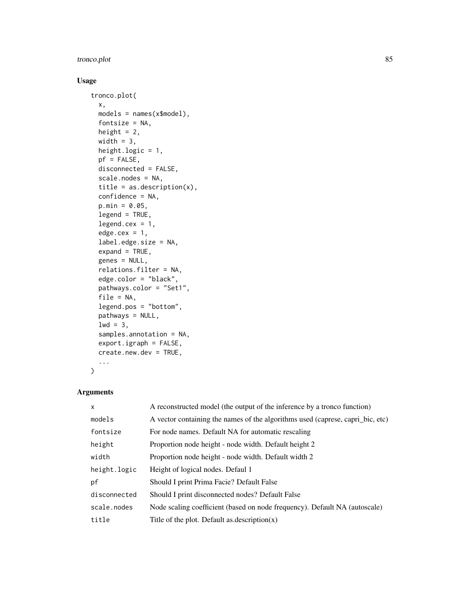# tronco.plot 85

# Usage

```
tronco.plot(
  x,
 models = names(x$model),
 fontsize = NA,
 height = 2,
 width = 3,
 height.logic = 1,
 pf = FALSE,
 disconnected = FALSE,
  scale.nodes = NA,
  title = as.description(x),
 confidence = NA,
 p.min = 0.05,
  legend = TRUE,
  legend. cex = 1,edge.cex = 1,
  label.edge.size = NA,
  expand = TRUE,genes = NULL,
  relations.filter = NA,
  edge.color = "black",
 pathways.color = "Set1",
  file = NA,
  legend.pos = "bottom",
 pathways = NULL,
  1wd = 3,
  samples.annotation = NA,
 export.igraph = FALSE,
 create.new.dev = TRUE,
  ...
\mathcal{L}
```

| $\mathsf{x}$ | A reconstructed model (the output of the inference by a tronco function)       |  |
|--------------|--------------------------------------------------------------------------------|--|
| models       | A vector containing the names of the algorithms used (caprese, capri_bic, etc) |  |
| fontsize     | For node names. Default NA for automatic rescaling                             |  |
| height       | Proportion node height - node width. Default height 2                          |  |
| width        | Proportion node height - node width. Default width 2                           |  |
| height.logic | Height of logical nodes. Defaul 1                                              |  |
| pf           | Should I print Prima Facie? Default False                                      |  |
| disconnected | Should I print disconnected nodes? Default False                               |  |
| scale.nodes  | Node scaling coefficient (based on node frequency). Default NA (autoscale)     |  |
| title        | Title of the plot. Default as description $(x)$                                |  |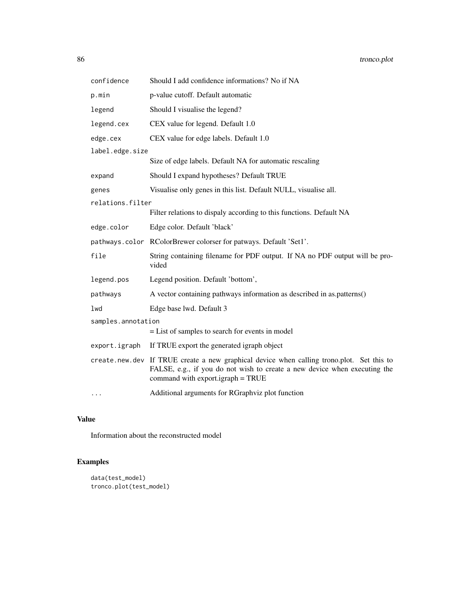| confidence         | Should I add confidence informations? No if NA                                                                                                                                                              |  |  |
|--------------------|-------------------------------------------------------------------------------------------------------------------------------------------------------------------------------------------------------------|--|--|
| p.min              | p-value cutoff. Default automatic                                                                                                                                                                           |  |  |
| legend             | Should I visualise the legend?                                                                                                                                                                              |  |  |
| legend.cex         | CEX value for legend. Default 1.0                                                                                                                                                                           |  |  |
| edge.cex           | CEX value for edge labels. Default 1.0                                                                                                                                                                      |  |  |
| label.edge.size    |                                                                                                                                                                                                             |  |  |
|                    | Size of edge labels. Default NA for automatic rescaling                                                                                                                                                     |  |  |
| expand             | Should I expand hypotheses? Default TRUE                                                                                                                                                                    |  |  |
| genes              | Visualise only genes in this list. Default NULL, visualise all.                                                                                                                                             |  |  |
| relations.filter   |                                                                                                                                                                                                             |  |  |
|                    | Filter relations to dispaly according to this functions. Default NA                                                                                                                                         |  |  |
| edge.color         | Edge color. Default 'black'                                                                                                                                                                                 |  |  |
|                    | pathways.color RColorBrewer colorser for patways. Default 'Set1'.                                                                                                                                           |  |  |
| file               | String containing filename for PDF output. If NA no PDF output will be pro-<br>vided                                                                                                                        |  |  |
| legend.pos         | Legend position. Default 'bottom',                                                                                                                                                                          |  |  |
| pathways           | A vector containing pathways information as described in as patterns()                                                                                                                                      |  |  |
| lwd                | Edge base lwd. Default 3                                                                                                                                                                                    |  |  |
| samples.annotation |                                                                                                                                                                                                             |  |  |
|                    | $=$ List of samples to search for events in model                                                                                                                                                           |  |  |
| export.igraph      | If TRUE export the generated igraph object                                                                                                                                                                  |  |  |
|                    | create.new.dev If TRUE create a new graphical device when calling trono.plot. Set this to<br>FALSE, e.g., if you do not wish to create a new device when executing the<br>command with export.igraph = TRUE |  |  |
| .                  | Additional arguments for RGraphviz plot function                                                                                                                                                            |  |  |

# Value

Information about the reconstructed model

```
data(test_model)
tronco.plot(test_model)
```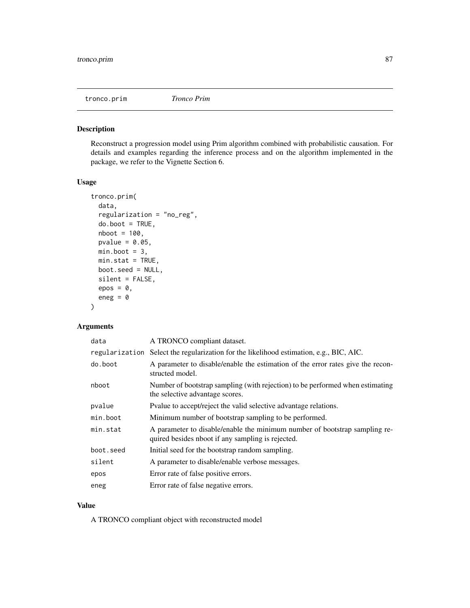<span id="page-86-0"></span>

Reconstruct a progression model using Prim algorithm combined with probabilistic causation. For details and examples regarding the inference process and on the algorithm implemented in the package, we refer to the Vignette Section 6.

#### Usage

```
tronco.prim(
  data,
  regularization = "no_reg",
 do.boot = TRUE,nboot = 100,
 pvalue = 0.05,
 min.boot = 3,min.stat = TRUE,boot.seed = NULL,
  silent = FALSE,
 epos = 0,
 eneg = \theta)
```
# Arguments

| data      | A TRONCO compliant dataset.                                                                                                     |
|-----------|---------------------------------------------------------------------------------------------------------------------------------|
|           | regularization Select the regularization for the likelihood estimation, e.g., BIC, AIC.                                         |
| do.boot   | A parameter to disable/enable the estimation of the error rates give the recon-<br>structed model.                              |
| nboot     | Number of bootstrap sampling (with rejection) to be performed when estimating<br>the selective advantage scores.                |
| pvalue    | Pvalue to accept/reject the valid selective advantage relations.                                                                |
| min.boot  | Minimum number of bootstrap sampling to be performed.                                                                           |
| min.stat  | A parameter to disable/enable the minimum number of bootstrap sampling re-<br>quired besides nboot if any sampling is rejected. |
| boot.seed | Initial seed for the bootstrap random sampling.                                                                                 |
| silent    | A parameter to disable/enable verbose messages.                                                                                 |
| epos      | Error rate of false positive errors.                                                                                            |
| eneg      | Error rate of false negative errors.                                                                                            |

# Value

A TRONCO compliant object with reconstructed model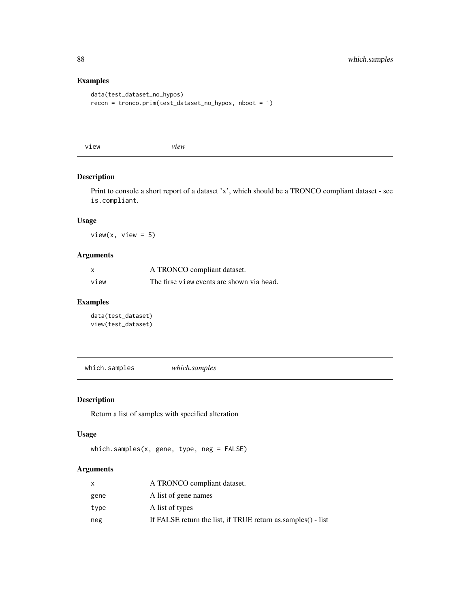# Examples

```
data(test_dataset_no_hypos)
recon = tronco.prim(test_dataset_no_hypos, nboot = 1)
```
view *view*

# Description

Print to console a short report of a dataset 'x', which should be a TRONCO compliant dataset - see is.compliant.

### Usage

 $view(x, view = 5)$ 

# Arguments

| X    | A TRONCO compliant dataset.               |
|------|-------------------------------------------|
| view | The firse view events are shown via head. |

# Examples

```
data(test_dataset)
view(test_dataset)
```
which.samples *which.samples*

# Description

Return a list of samples with specified alteration

# Usage

```
which.samples(x, gene, type, neg = FALSE)
```

|      | A TRONCO compliant dataset.                                  |
|------|--------------------------------------------------------------|
| gene | A list of gene names                                         |
| type | A list of types                                              |
| neg  | If FALSE return the list, if TRUE return as samples() - list |

<span id="page-87-0"></span>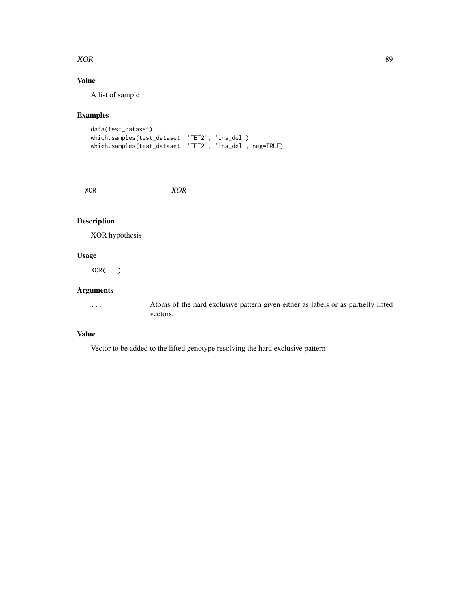#### <span id="page-88-0"></span> $XOR$  89

# Value

A list of sample

# Examples

```
data(test_dataset)
which.samples(test_dataset, 'TET2', 'ins_del')
which.samples(test_dataset, 'TET2', 'ins_del', neg=TRUE)
```
XOR *XOR*

# Description

XOR hypothesis

# Usage

XOR(...)

# Arguments

... Atoms of the hard exclusive pattern given either as labels or as partielly lifted vectors.

# Value

Vector to be added to the lifted genotype resolving the hard exclusive pattern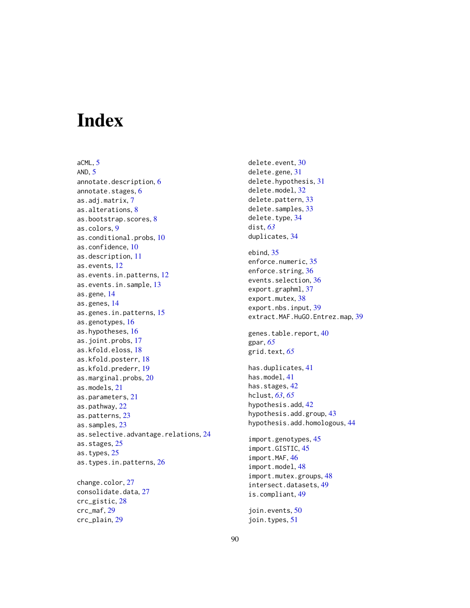# **Index**

aCML, [5](#page-4-0) AND,  $5$ annotate.description, [6](#page-5-0) annotate.stages, [6](#page-5-0) as.adj.matrix, [7](#page-6-0) as.alterations, [8](#page-7-0) as.bootstrap.scores, [8](#page-7-0) as.colors, [9](#page-8-0) as.conditional.probs, [10](#page-9-0) as.confidence, [10](#page-9-0) as.description, [11](#page-10-0) as.events, [12](#page-11-0) as.events.in.patterns, [12](#page-11-0) as.events.in.sample, [13](#page-12-0) as.gene, [14](#page-13-0) as.genes, [14](#page-13-0) as.genes.in.patterns, [15](#page-14-0) as.genotypes, [16](#page-15-0) as.hypotheses, [16](#page-15-0) as.joint.probs, [17](#page-16-0) as.kfold.eloss, [18](#page-17-0) as.kfold.posterr, [18](#page-17-0) as.kfold.prederr, [19](#page-18-0) as.marginal.probs, [20](#page-19-0) as.models, [21](#page-20-0) as.parameters, [21](#page-20-0) as.pathway, [22](#page-21-0) as.patterns, [23](#page-22-0) as.samples, [23](#page-22-0) as.selective.advantage.relations, [24](#page-23-0) as.stages, [25](#page-24-0) as.types, [25](#page-24-0) as.types.in.patterns, [26](#page-25-0) change.color, [27](#page-26-0)

consolidate.data, [27](#page-26-0) crc\_gistic, [28](#page-27-0) crc\_maf, [29](#page-28-0) crc\_plain, [29](#page-28-0)

delete.event, [30](#page-29-0) delete.gene, [31](#page-30-0) delete.hypothesis, [31](#page-30-0) delete.model, [32](#page-31-0) delete.pattern, [33](#page-32-0) delete.samples, [33](#page-32-0) delete.type, [34](#page-33-0) dist, *[63](#page-62-0)* duplicates, [34](#page-33-0) ebind, [35](#page-34-0) enforce.numeric, [35](#page-34-0) enforce.string, [36](#page-35-0) events.selection, [36](#page-35-0) export.graphml, [37](#page-36-0) export.mutex, [38](#page-37-0) export.nbs.input, [39](#page-38-0) extract.MAF.HuGO.Entrez.map, [39](#page-38-0) genes.table.report, [40](#page-39-0) gpar, *[65](#page-64-0)* grid.text, *[65](#page-64-0)* has.duplicates, [41](#page-40-0) has.model, [41](#page-40-0) has.stages, [42](#page-41-0) hclust, *[63](#page-62-0)*, *[65](#page-64-0)* hypothesis.add, [42](#page-41-0) hypothesis.add.group, [43](#page-42-0) hypothesis.add.homologous, [44](#page-43-0) import.genotypes, [45](#page-44-0) import.GISTIC, [45](#page-44-0) import.MAF, [46](#page-45-0) import.model, [48](#page-47-0) import.mutex.groups, [48](#page-47-0) intersect.datasets, [49](#page-48-0) is.compliant, [49](#page-48-0) join.events, [50](#page-49-0) join.types, [51](#page-50-0)